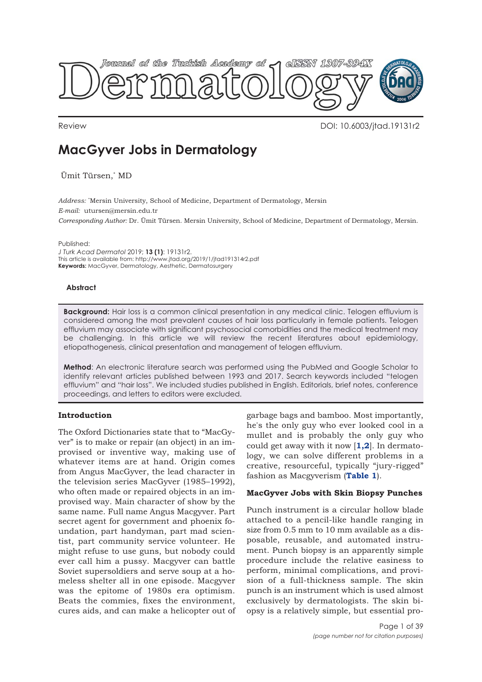

Review DOI: 10.6003/jtad.19131r2

# **MacGyver Jobs in Dermatology**

Ümit Türsen,\* MD

*Address:* \* Mersin University, School of Medicine, Department of Dermatology, Mersin *E-mail:* utursen@mersin.edu.tr *Corresponding Author:* Dr. Ümit Türsen. Mersin University, School of Medicine, Department of Dermatology, Mersin.

Published:

*J Turk Acad Dermatol* 2019; **13 (1)**: 19131r2. This article is available from: http://www.jtad.org/2019/1/jtad191314r2.pdf **Keywords:** MacGyver, Dermatology, Aesthetic, Dermatosurgery

### **Abstract**

**Background:** Hair loss is a common clinical presentation in any medical clinic. Telogen effluvium is considered among the most prevalent causes of hair loss particularly in female patients. Telogen effluvium may associate with significant psychosocial comorbidities and the medical treatment may be challenging. In this article we will review the recent literatures about epidemiology, etiopathogenesis, clinical presentation and management of telogen effluvium.

**Method**: An electronic literature search was performed using the PubMed and Google Scholar to identify relevant articles published between 1993 and 2017. Search keywords included "telogen effluvium" and "hair loss". We included studies published in English. Editorials, brief notes, conference proceedings, and letters to editors were excluded.

# **Introduction**

The Oxford Dictionaries state that to "MacGyver" is to make or repair (an object) in an improvised or inventive way, making use of whatever items are at hand. Origin comes from Angus MacGyver, the lead character in the television series MacGyver (1985–1992), who often made or repaired objects in an improvised way. Main character of show by the same name. Full name Angus Macgyver. Part secret agent for government and phoenix foundation, part handyman, part mad scientist, part community service volunteer. He might refuse to use guns, but nobody could ever call him a pussy. Macgyver can battle Soviet supersoldiers and serve soup at a homeless shelter all in one episode. Macgyver was the epitome of 1980s era optimism. Beats the commies, fixes the environment, cures aids, and can make a helicopter out of

garbage bags and bamboo. Most importantly, he's the only guy who ever looked cool in a mullet and is probably the only guy who could get away with it now [**[1,2](#page-36-0)**]. In dermatology, we can solve different problems in a creative, resourceful, typically "jury-rigged" fashion as Macgyverism (**[Table 1](#page-2-0)**).

### **MacGyver Jobs with Skin Biopsy Punches**

Punch instrument is a circular hollow blade attached to a pencil-like handle ranging in size from 0.5 mm to 10 mm available as a disposable, reusable, and automated instrument. Punch biopsy is an apparently simple procedure include the relative easiness to perform, minimal complications, and provision of a full-thickness sample. The skin punch is an instrument which is used almost exclusively by dermatologists. The skin biopsy is a relatively simple, but essential pro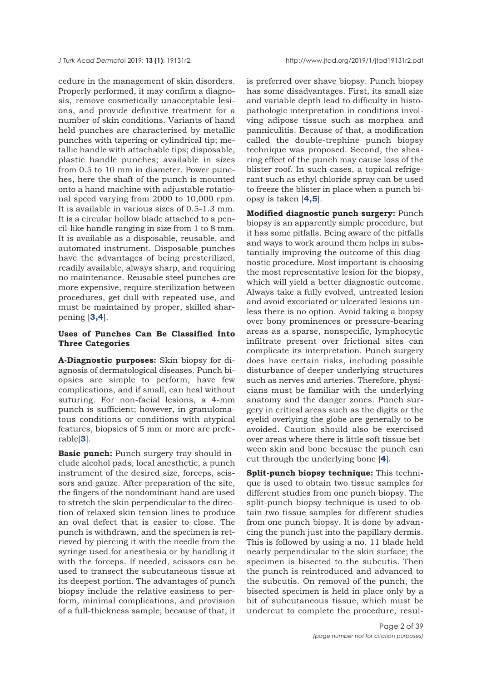cedure in the management of skin disorders. Properly performed, it may confirm a diagnosis, remove cosmetically unacceptable lesions, and provide definitive treatment for a number of skin conditions. Variants of hand held punches are characterised by metallic punches with tapering or cylindrical tip; metallic handle with attachable tips; disposable, plastic handle punches; available in sizes from 0.5 to 10 mm in diameter. Power punches, here the shaft of the punch is mounted onto a hand machine with adjustable rotational speed varying from 2000 to 10,000 rpm. It is available in various sizes of 0.5-1.3 mm. It is a circular hollow blade attached to a pencil-like handle ranging in size from 1 to 8 mm. It is available as a disposable, reusable, and automated instrument. Disposable punches have the advantages of being presterilized, readily available, always sharp, and requiring no maintenance. Reusable steel punches are more expensive, require sterilization between procedures, get dull with repeated use, and must be maintained by proper, skilled sharpening [**[3,4](#page-36-0)**].

# **Uses of Punches Can Be Classified İnto Three Categories**

**A-Diagnostic purposes:** Skin biopsy for diagnosis of dermatological diseases. Punch biopsies are simple to perform, have few complications, and if small, can heal without suturing. For non-facial lesions, a 4-mm punch is sufficient; however, in granulomatous conditions or conditions with atypical features, biopsies of 5 mm or more are preferable[**[3](#page-36-0)**].

**Basic punch:** Punch surgery tray should include alcohol pads, local anesthetic, a punch instrument of the desired size, forceps, scissors and gauze. After preparation of the site, the fingers of the nondominant hand are used to stretch the skin perpendicular to the direction of relaxed skin tension lines to produce an oval defect that is easier to close. The punch is withdrawn, and the specimen is retrieved by piercing it with the needle from the syringe used for anesthesia or by handling it with the forceps. If needed, scissors can be used to transect the subcutaneous tissue at its deepest portion. The advantages of punch biopsy include the relative easiness to perform, minimal complications, and provision of a full-thickness sample; because of that, it

is preferred over shave biopsy. Punch biopsy has some disadvantages. First, its small size and variable depth lead to difficulty in histopathologic interpretation in conditions involving adipose tissue such as morphea and panniculitis. Because of that, a modification called the double-trephine punch biopsy technique was proposed. Second, the shearing effect of the punch may cause loss of the blister roof. In such cases, a topical refrigerant such as ethyl chloride spray can be used to freeze the blister in place when a punch biopsy is taken [**[4,5](#page-36-0)**].

**Modified diagnostic punch surgery:** Punch biopsy is an apparently simple procedure, but it has some pitfalls. Being aware of the pitfalls and ways to work around them helps in substantially improving the outcome of this diagnostic procedure. Most important is choosing the most representative lesion for the biopsy, which will yield a better diagnostic outcome. Always take a fully evolved, untreated lesion and avoid excoriated or ulcerated lesions unless there is no option. Avoid taking a biopsy over bony prominences or pressure-bearing areas as a sparse, nonspecific, lymphocytic infiltrate present over frictional sites can complicate its interpretation. Punch surgery does have certain risks, including possible disturbance of deeper underlying structures such as nerves and arteries. Therefore, physicians must be familiar with the underlying anatomy and the danger zones. Punch surgery in critical areas such as the digits or the eyelid overlying the globe are generally to be avoided. Caution should also be exercised over areas where there is little soft tissue between skin and bone because the punch can cut through the underlying bone [**[4](#page-36-0)**].

**Split-punch biopsy technique:** This technique is used to obtain two tissue samples for different studies from one punch biopsy. The split-punch biopsy technique is used to obtain two tissue samples for different studies from one punch biopsy. It is done by advancing the punch just into the papillary dermis. This is followed by using a no. 11 blade held nearly perpendicular to the skin surface; the specimen is bisected to the subcutis. Then the punch is reintroduced and advanced to the subcutis. On removal of the punch, the bisected specimen is held in place only by a bit of subcutaneous tissue, which must be undercut to complete the procedure, resul-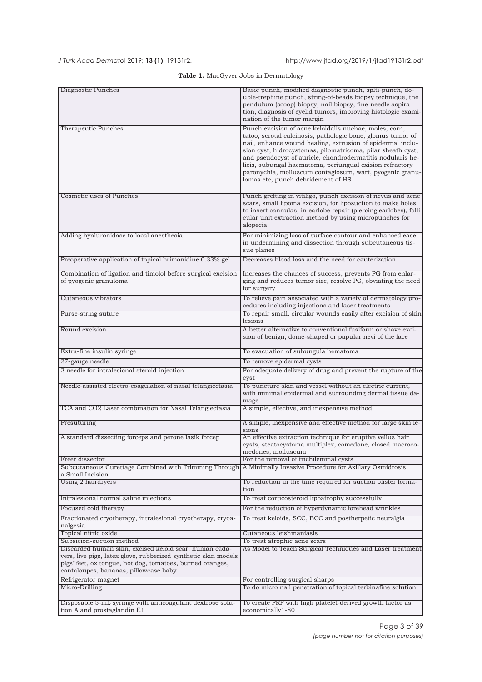# <span id="page-2-0"></span>*J Turk Acad Dermato*l 2019; **13 (1)**: 19131r2. http://www.jtad.org/2019/1/jtad19131r2.pdf

|  | Table 1. MacGyver Jobs in Dermatology |
|--|---------------------------------------|
|--|---------------------------------------|

| Diagnostic Punches                                                                                                                                                                                                              | Basic punch, modified diagnostic punch, splti-punch, do-<br>uble-trephine punch, string-of-beads biopsy technique, the<br>pendulum (scoop) biopsy, nail biopsy, fine-needle aspira-<br>tion, diagnosis of eyelid tumors, improving histologic exami-<br>nation of the tumor margin                                                                                                                                                                                             |
|---------------------------------------------------------------------------------------------------------------------------------------------------------------------------------------------------------------------------------|--------------------------------------------------------------------------------------------------------------------------------------------------------------------------------------------------------------------------------------------------------------------------------------------------------------------------------------------------------------------------------------------------------------------------------------------------------------------------------|
| Therapeutic Punches                                                                                                                                                                                                             | Punch excision of acne keloidalis nuchae, moles, corn,<br>tatoo, scrotal calcinosis, pathologic bone, glomus tumor of<br>nail, enhance wound healing, extrusion of epidermal inclu-<br>sion cyst, hidrocystomas, pilomatricoma, pilar sheath cyst,<br>and pseudocyst of auricle, chondrodermatitis nodularis he-<br>licis, subungal haematoma, periungual exision refractory<br>paronychia, molluscum contagiosum, wart, pyogenic granu-<br>lomas etc, punch debridement of HS |
| Cosmetic uses of Punches                                                                                                                                                                                                        | Punch grefting in vitiligo, punch excision of nevus and acne<br>scars, small lipoma excision, for liposuction to make holes<br>to insert cannulas, in earlobe repair (piercing earlobes), folli-<br>cular unit extraction method by using micropunches for<br>alopecia                                                                                                                                                                                                         |
| Adding hyaluronidase to local anesthesia                                                                                                                                                                                        | For minimizing loss of surface contour and enhanced ease<br>in undermining and dissection through subcutaneous tis-<br>sue planes                                                                                                                                                                                                                                                                                                                                              |
| Preoperative application of topical brimonidine 0.33% gel                                                                                                                                                                       | Decreases blood loss and the need for cauterization                                                                                                                                                                                                                                                                                                                                                                                                                            |
| Combination of ligation and timolol before surgical excision<br>of pyogenic granuloma                                                                                                                                           | Increases the chances of success, prevents PG from enlar-<br>ging and reduces tumor size, resolve PG, obviating the need<br>for surgery                                                                                                                                                                                                                                                                                                                                        |
| Cutaneous vibrators                                                                                                                                                                                                             | To relieve pain associated with a variety of dermatology pro-<br>cedures including injections and laser treatments                                                                                                                                                                                                                                                                                                                                                             |
| Purse-string suture                                                                                                                                                                                                             | To repair small, circular wounds easily after excision of skin<br>lesions                                                                                                                                                                                                                                                                                                                                                                                                      |
| Round excision                                                                                                                                                                                                                  | A better alternative to conventional fusiform or shave exci-<br>sion of benign, dome-shaped or papular nevi of the face                                                                                                                                                                                                                                                                                                                                                        |
| Extra-fine insulin syringe                                                                                                                                                                                                      | To evacuation of subungula hematoma                                                                                                                                                                                                                                                                                                                                                                                                                                            |
| 27-gauge needle                                                                                                                                                                                                                 | To remove epidermal cysts                                                                                                                                                                                                                                                                                                                                                                                                                                                      |
| 2 needle for intralesional steroid injection                                                                                                                                                                                    | For adequate delivery of drug and prevent the rupture of the<br>cyst                                                                                                                                                                                                                                                                                                                                                                                                           |
| Needle-assisted electro-coagulation of nasal telangiectasia                                                                                                                                                                     | To puncture skin and vessel without an electric current,<br>with minimal epidermal and surrounding dermal tissue da-<br>mage                                                                                                                                                                                                                                                                                                                                                   |
| TCA and CO2 Laser combination for Nasal Telangiectasia                                                                                                                                                                          | A simple, effective, and inexpensive method                                                                                                                                                                                                                                                                                                                                                                                                                                    |
| Presuturing                                                                                                                                                                                                                     | A simple, inexpensive and effective method for large skin le-<br>sions                                                                                                                                                                                                                                                                                                                                                                                                         |
| A standard dissecting forceps and perone lasik forcep                                                                                                                                                                           | An effective extraction technique for eruptive vellus hair<br>cysts, steatocystoma multiplex, comedone, closed macroco-<br>medones, molluscum                                                                                                                                                                                                                                                                                                                                  |
| Freer dissector                                                                                                                                                                                                                 | For the removal of trichilemmal cysts                                                                                                                                                                                                                                                                                                                                                                                                                                          |
| Subcutaneous Curettage Combined with Trimming Through   A Minimally Invasive Procedure for Axillary Osmidrosis<br>a Small Incision                                                                                              |                                                                                                                                                                                                                                                                                                                                                                                                                                                                                |
| Using 2 hairdryers                                                                                                                                                                                                              | To reduction in the time required for suction blister forma-<br>tion                                                                                                                                                                                                                                                                                                                                                                                                           |
| Intralesional normal saline injections                                                                                                                                                                                          | To treat corticosteroid lipoatrophy successfully                                                                                                                                                                                                                                                                                                                                                                                                                               |
| Focused cold therapy                                                                                                                                                                                                            | For the reduction of hyperdynamic forehead wrinkles                                                                                                                                                                                                                                                                                                                                                                                                                            |
| Fractionated cryotherapy, intralesional cryotherapy, cryoa-<br>nalgesia                                                                                                                                                         | To treat keloids, SCC, BCC and postherpetic neuralgia                                                                                                                                                                                                                                                                                                                                                                                                                          |
| Topical nitric oxide                                                                                                                                                                                                            | Cutaneous leishmaniasis                                                                                                                                                                                                                                                                                                                                                                                                                                                        |
| Subsicion-suction method                                                                                                                                                                                                        | To treat atrophic acne scars                                                                                                                                                                                                                                                                                                                                                                                                                                                   |
| Discarded human skin, excised keloid scar, human cada-<br>vers, live pigs, latex glove, rubberized synthetic skin models,<br>pigs' feet, ox tongue, hot dog, tomatoes, burned oranges,<br>cantaloupes, bananas, pillowcase baby | As Model to Teach Surgical Techniques and Laser treatment                                                                                                                                                                                                                                                                                                                                                                                                                      |
| Refrigerator magnet                                                                                                                                                                                                             | For controlling surgical sharps                                                                                                                                                                                                                                                                                                                                                                                                                                                |
| Micro-Drilling                                                                                                                                                                                                                  | To do micro nail penetration of topical terbinafine solution                                                                                                                                                                                                                                                                                                                                                                                                                   |
| Disposable 5-mL syringe with anticoagulant dextrose solu-                                                                                                                                                                       | To create PRP with high platelet-derived growth factor as                                                                                                                                                                                                                                                                                                                                                                                                                      |
| tion A and prostaglandin E1                                                                                                                                                                                                     | economically 1-80                                                                                                                                                                                                                                                                                                                                                                                                                                                              |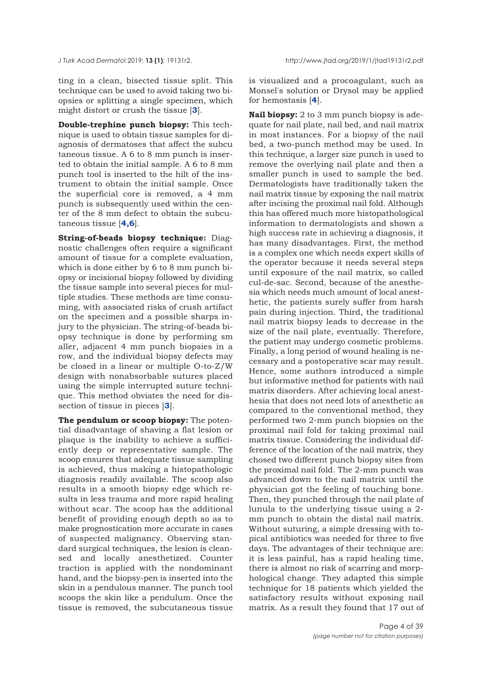ting in a clean, bisected tissue split. This technique can be used to avoid taking two biopsies or splitting a single specimen, which might distort or crush the tissue [**[3](#page-37-0)**].

**Double-trephine punch biopsy:** This technique is used to obtain tissue samples for diagnosis of dermatoses that affect the subcu taneous tissue. A 6 to 8 mm punch is inserted to obtain the initial sample. A 6 to 8 mm punch tool is inserted to the hilt of the instrument to obtain the initial sample. Once the superficial core is removed, a 4 mm punch is subsequently used within the center of the 8 mm defect to obtain the subcutaneous tissue [**[4](#page-36-0),[6](#page-36-0)**].

**String-of-beads biopsy technique:** Diagnostic challenges often require a significant amount of tissue for a complete evaluation, which is done either by 6 to 8 mm punch biopsy or incisional biopsy followed by dividing the tissue sample into several pieces for multiple studies. These methods are time consuming, with associated risks of crush artifact on the specimen and a possible sharps injury to the physician. The string-of-beads biopsy technique is done by performing sm aller, adjacent 4 mm punch biopsies in a row, and the individual biopsy defects may be closed in a linear or multiple O-to-Z/W design with nonabsorbable sutures placed using the simple interrupted suture technique. This method obviates the need for dissection of tissue in pieces [**[3](#page-36-0)**].

**The pendulum or scoop biopsy:** The potential disadvantage of shaving a flat lesion or plaque is the inability to achieve a sufficiently deep or representative sample. The scoop ensures that adequate tissue sampling is achieved, thus making a histopathologic diagnosis readily available. The scoop also results in a smooth biopsy edge which results in less trauma and more rapid healing without scar. The scoop has the additional benefit of providing enough depth so as to make prognostication more accurate in cases of suspected malignancy. Observing standard surgical techniques, the lesion is cleansed and locally anesthetized. Counter traction is applied with the nondominant hand, and the biopsy-pen is inserted into the skin in a pendulous manner. The punch tool scoops the skin like a pendulum. Once the tissue is removed, the subcutaneous tissue

is visualized and a procoagulant, such as Monsel's solution or Drysol may be applied for hemostasis [**[4](#page-36-0)**].

**Nail biopsy:** 2 to 3 mm punch biopsy is adequate for nail plate, nail bed, and nail matrix in most instances. For a biopsy of the nail bed, a two-punch method may be used. In this technique, a larger size punch is used to remove the overlying nail plate and then a smaller punch is used to sample the bed. Dermatologists have traditionally taken the nail matrix tissue by exposing the nail matrix after incising the proximal nail fold. Although this has offered much more histopathological information to dermatologists and shown a high success rate in achieving a diagnosis, it has many disadvantages. First, the method is a complex one which needs expert skills of the operator because it needs several steps until exposure of the nail matrix, so called cul-de-sac. Second, because of the anesthesia which needs much amount of local anesthetic, the patients surely suffer from harsh pain during injection. Third, the traditional nail matrix biopsy leads to decrease in the size of the nail plate, eventually. Therefore, the patient may undergo cosmetic problems. Finally, a long period of wound healing is necessary and a postoperative scar may result. Hence, some authors introduced a simple but informative method for patients with nail matrix disorders. After achieving local anesthesia that does not need lots of anesthetic as compared to the conventional method, they performed two 2-mm punch biopsies on the proximal nail fold for taking proximal nail matrix tissue. Considering the individual difference of the location of the nail matrix, they chosed two different punch biopsy sites from the proximal nail fold. The 2-mm punch was advanced down to the nail matrix until the physician got the feeling of touching bone. Then, they punched through the nail plate of lunula to the underlying tissue using a 2 mm punch to obtain the distal nail matrix. Without suturing, a simple dressing with topical antibiotics was needed for three to five days. The advantages of their technique are: it is less painful, has a rapid healing time, there is almost no risk of scarring and morphological change. They adapted this simple technique for 18 patients which yielded the satisfactory results without exposing nail matrix. As a result they found that 17 out of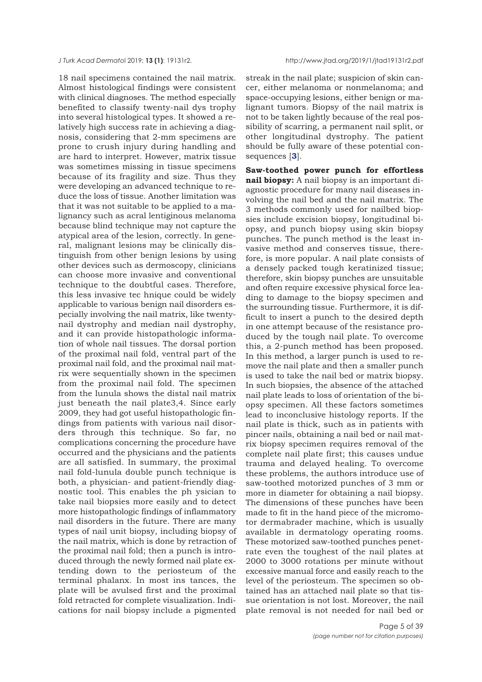18 nail specimens contained the nail matrix. Almost histological findings were consistent with clinical diagnoses. The method especially benefited to classify twenty-nail dys trophy into several histological types. It showed a relatively high success rate in achieving a diagnosis, considering that 2-mm specimens are prone to crush injury during handling and are hard to interpret. However, matrix tissue was sometimes missing in tissue specimens because of its fragility and size. Thus they were developing an advanced technique to reduce the loss of tissue. Another limitation was that it was not suitable to be applied to a malignancy such as acral lentiginous melanoma because blind technique may not capture the atypical area of the lesion, correctly. In general, malignant lesions may be clinically distinguish from other benign lesions by using other devices such as dermoscopy, clinicians can choose more invasive and conventional technique to the doubtful cases. Therefore, this less invasive tec hnique could be widely applicable to various benign nail disorders especially involving the nail matrix, like twentynail dystrophy and median nail dystrophy, and it can provide histopathologic information of whole nail tissues. The dorsal portion of the proximal nail fold, ventral part of the proximal nail fold, and the proximal nail matrix were sequentially shown in the specimen from the proximal nail fold. The specimen from the lunula shows the distal nail matrix just beneath the nail plate3,4. Since early 2009, they had got useful histopathologic findings from patients with various nail disorders through this technique. So far, no complications concerning the procedure have occurred and the physicians and the patients are all satisfied. In summary, the proximal nail fold-lunula double punch technique is both, a physician- and patient-friendly diagnostic tool. This enables the ph ysician to take nail biopsies more easily and to detect more histopathologic findings of inflammatory nail disorders in the future. There are many types of nail unit biopsy, including biopsy of the nail matrix, which is done by retraction of the proximal nail fold; then a punch is introduced through the newly formed nail plate extending down to the periosteum of the terminal phalanx. In most ins tances, the plate will be avulsed first and the proximal fold retracted for complete visualization. Indications for nail biopsy include a pigmented

streak in the nail plate; suspicion of skin cancer, either melanoma or nonmelanoma; and space-occupying lesions, either benign or malignant tumors. Biopsy of the nail matrix is not to be taken lightly because of the real possibility of scarring, a permanent nail split, or other longitudinal dystrophy. The patient should be fully aware of these potential consequences [**[3](#page-36-0)**].

**Saw-toothed power punch for effortless nail biopsy:** A nail biopsy is an important diagnostic procedure for many nail diseases involving the nail bed and the nail matrix. The 3 methods commonly used for nailbed biopsies include excision biopsy, longitudinal biopsy, and punch biopsy using skin biopsy punches. The punch method is the least invasive method and conserves tissue, therefore, is more popular. A nail plate consists of a densely packed tough keratinized tissue; therefore, skin biopsy punches are unsuitable and often require excessive physical force leading to damage to the biopsy specimen and the surrounding tissue. Furthermore, it is difficult to insert a punch to the desired depth in one attempt because of the resistance produced by the tough nail plate. To overcome this, a 2-punch method has been proposed. In this method, a larger punch is used to remove the nail plate and then a smaller punch is used to take the nail bed or matrix biopsy. In such biopsies, the absence of the attached nail plate leads to loss of orientation of the biopsy specimen. All these factors sometimes lead to inconclusive histology reports. If the nail plate is thick, such as in patients with pincer nails, obtaining a nail bed or nail matrix biopsy specimen requires removal of the complete nail plate first; this causes undue trauma and delayed healing. To overcome these problems, the authors introduce use of saw-toothed motorized punches of 3 mm or more in diameter for obtaining a nail biopsy. The dimensions of these punches have been made to fit in the hand piece of the micromotor dermabrader machine, which is usually available in dermatology operating rooms. These motorized saw-toothed punches penetrate even the toughest of the nail plates at 2000 to 3000 rotations per minute without excessive manual force and easily reach to the level of the periosteum. The specimen so obtained has an attached nail plate so that tissue orientation is not lost. Moreover, the nail plate removal is not needed for nail bed or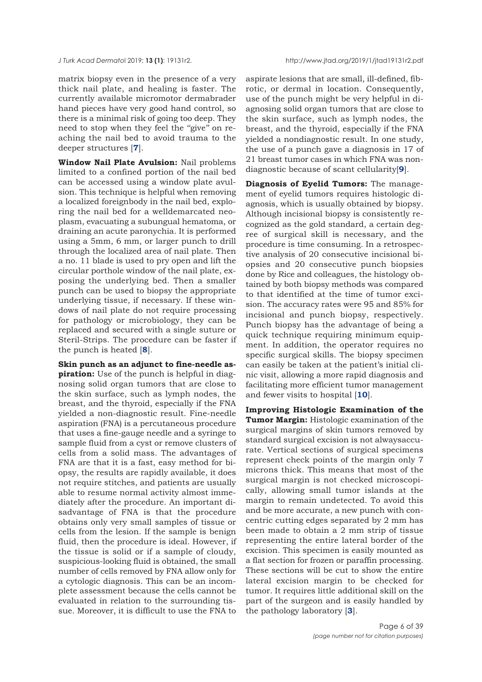matrix biopsy even in the presence of a very thick nail plate, and healing is faster. The currently available micromotor dermabrader hand pieces have very good hand control, so there is a minimal risk of going too deep. They need to stop when they feel the "give" on reaching the nail bed to avoid trauma to the deeper structures [**[7](#page-36-0)**].

**Window Nail Plate Avulsion:** Nail problems limited to a confined portion of the nail bed can be accessed using a window plate avulsion. This technique is helpful when removing a localized foreignbody in the nail bed, exploring the nail bed for a welldemarcated neoplasm, evacuating a subungual hematoma, or draining an acute paronychia. It is performed using a 5mm, 6 mm, or larger punch to drill through the localized area of nail plate. Then a no. 11 blade is used to pry open and lift the circular porthole window of the nail plate, exposing the underlying bed. Then a smaller punch can be used to biopsy the appropriate underlying tissue, if necessary. If these windows of nail plate do not require processing for pathology or microbiology, they can be replaced and secured with a single suture or Steril-Strips. The procedure can be faster if the punch is heated [**[8](#page-36-0)**].

**Skin punch as an adjunct to fine-needle aspiration:** Use of the punch is helpful in diagnosing solid organ tumors that are close to the skin surface, such as lymph nodes, the breast, and the thyroid, especially if the FNA yielded a non-diagnostic result. Fine-needle aspiration (FNA) is a percutaneous procedure that uses a fine-gauge needle and a syringe to sample fluid from a cyst or remove clusters of cells from a solid mass. The advantages of FNA are that it is a fast, easy method for biopsy, the results are rapidly available, it does not require stitches, and patients are usually able to resume normal activity almost immediately after the procedure. An important disadvantage of FNA is that the procedure obtains only very small samples of tissue or cells from the lesion. If the sample is benign fluid, then the procedure is ideal. However, if the tissue is solid or if a sample of cloudy, suspicious-looking fluid is obtained, the small number of cells removed by FNA allow only for a cytologic diagnosis. This can be an incomplete assessment because the cells cannot be evaluated in relation to the surrounding tissue. Moreover, it is difficult to use the FNA to

aspirate lesions that are small, ill-defined, fibrotic, or dermal in location. Consequently, use of the punch might be very helpful in diagnosing solid organ tumors that are close to the skin surface, such as lymph nodes, the breast, and the thyroid, especially if the FNA yielded a nondiagnostic result. In one study, the use of a punch gave a diagnosis in 17 of 21 breast tumor cases in which FNA was nondiagnostic because of scant cellularity[**[9](#page-36-0)**].

**Diagnosis of Eyelid Tumors:** The management of eyelid tumors requires histologic diagnosis, which is usually obtained by biopsy. Although incisional biopsy is consistently recognized as the gold standard, a certain degree of surgical skill is necessary, and the procedure is time consuming. In a retrospective analysis of 20 consecutive incisional biopsies and 20 consecutive punch biopsies done by Rice and colleagues, the histology obtained by both biopsy methods was compared to that identified at the time of tumor excision. The accuracy rates were 95 and 85% for incisional and punch biopsy, respectively. Punch biopsy has the advantage of being a quick technique requiring minimum equipment. In addition, the operator requires no specific surgical skills. The biopsy specimen can easily be taken at the patient's initial clinic visit, allowing a more rapid diagnosis and facilitating more efficient tumor management and fewer visits to hospital [**[10](#page-36-0)**].

**Improving Histologic Examination of the Tumor Margin:** Histologic examination of the surgical margins of skin tumors removed by standard surgical excision is not alwaysaccurate. Vertical sections of surgical specimens represent check points of the margin only 7 microns thick. This means that most of the surgical margin is not checked microscopically, allowing small tumor islands at the margin to remain undetected. To avoid this and be more accurate, a new punch with concentric cutting edges separated by 2 mm has been made to obtain a 2 mm strip of tissue representing the entire lateral border of the excision. This specimen is easily mounted as a flat section for frozen or paraffin processing. These sections will be cut to show the entire lateral excision margin to be checked for tumor. It requires little additional skill on the part of the surgeon and is easily handled by the pathology laboratory [**3**].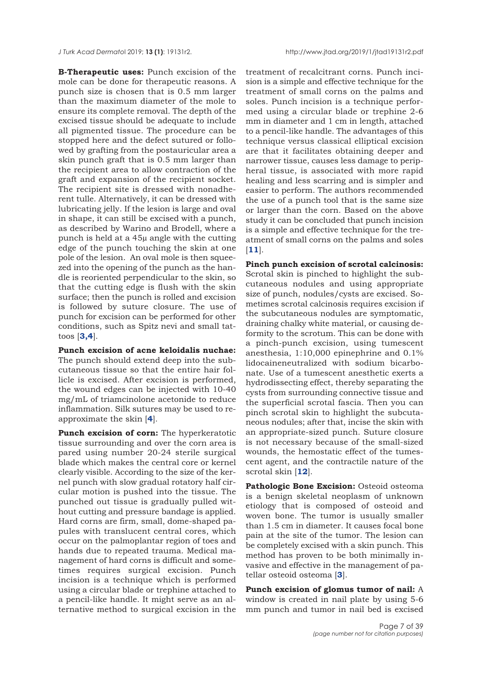**B-Therapeutic uses:** Punch excision of the mole can be done for therapeutic reasons. A punch size is chosen that is 0.5 mm larger than the maximum diameter of the mole to ensure its complete removal. The depth of the excised tissue should be adequate to include all pigmented tissue. The procedure can be stopped here and the defect sutured or followed by grafting from the postauricular area a skin punch graft that is 0.5 mm larger than the recipient area to allow contraction of the graft and expansion of the recipient socket. The recipient site is dressed with nonadherent tulle. Alternatively, it can be dressed with lubricating jelly. If the lesion is large and oval in shape, it can still be excised with a punch, as described by Warino and Brodell, where a punch is held at a 45µ angle with the cutting edge of the punch touching the skin at one pole of the lesion. An oval mole is then squeezed into the opening of the punch as the handle is reoriented perpendicular to the skin, so that the cutting edge is flush with the skin surface; then the punch is rolled and excision is followed by suture closure. The use of punch for excision can be performed for other conditions, such as Spitz nevi and small tattoos [**3,4**].

**Punch excision of acne keloidalis nuchae:** The punch should extend deep into the subcutaneous tissue so that the entire hair follicle is excised. After excision is performed, the wound edges can be injected with 10-40 mg/mL of triamcinolone acetonide to reduce inflammation. Silk sutures may be used to reapproximate the skin [**4**].

**Punch excision of corn:** The hyperkeratotic tissue surrounding and over the corn area is pared using number 20-24 sterile surgical blade which makes the central core or kernel clearly visible. According to the size of the kernel punch with slow gradual rotatory half circular motion is pushed into the tissue. The punched out tissue is gradually pulled without cutting and pressure bandage is applied. Hard corns are firm, small, dome-shaped papules with translucent central cores, which occur on the palmoplantar region of toes and hands due to repeated trauma. Medical management of hard corns is difficult and sometimes requires surgical excision. Punch incision is a technique which is performed using a circular blade or trephine attached to a pencil-like handle. It might serve as an alternative method to surgical excision in the

treatment of recalcitrant corns. Punch incision is a simple and effective technique for the treatment of small corns on the palms and soles. Punch incision is a technique performed using a circular blade or trephine 2-6 mm in diameter and 1 cm in length, attached to a pencil-like handle. The advantages of this technique versus classical elliptical excision are that it facilitates obtaining deeper and narrower tissue, causes less damage to peripheral tissue, is associated with more rapid healing and less scarring and is simpler and easier to perform. The authors recommended the use of a punch tool that is the same size or larger than the corn. Based on the above study it can be concluded that punch incision is a simple and effective technique for the treatment of small corns on the palms and soles [**[11](#page-36-0)**].

**Pinch punch excision of scrotal calcinosis:** Scrotal skin is pinched to highlight the subcutaneous nodules and using appropriate size of punch, nodules/cysts are excised. Sometimes scrotal calcinosis requires excision if the subcutaneous nodules are symptomatic, draining chalky white material, or causing deformity to the scrotum. This can be done with a pinch-punch excision, using tumescent anesthesia, 1:10,000 epinephrine and 0.1% lidocaineneutralized with sodium bicarbonate. Use of a tumescent anesthetic exerts a hydrodissecting effect, thereby separating the cysts from surrounding connective tissue and the superficial scrotal fascia. Then you can pinch scrotal skin to highlight the subcutaneous nodules; after that, incise the skin with an appropriate-sized punch. Suture closure is not necessary because of the small-sized wounds, the hemostatic effect of the tumescent agent, and the contractile nature of the scrotal skin [**[12](#page-36-0)**].

**Pathologic Bone Excision:** Osteoid osteoma is a benign skeletal neoplasm of unknown etiology that is composed of osteoid and woven bone. The tumor is usually smaller than 1.5 cm in diameter. It causes focal bone pain at the site of the tumor. The lesion can be completely excised with a skin punch. This method has proven to be both minimally invasive and effective in the management of patellar osteoid osteoma [**3**].

**Punch excision of glomus tumor of nail:** A window is created in nail plate by using 5-6 mm punch and tumor in nail bed is excised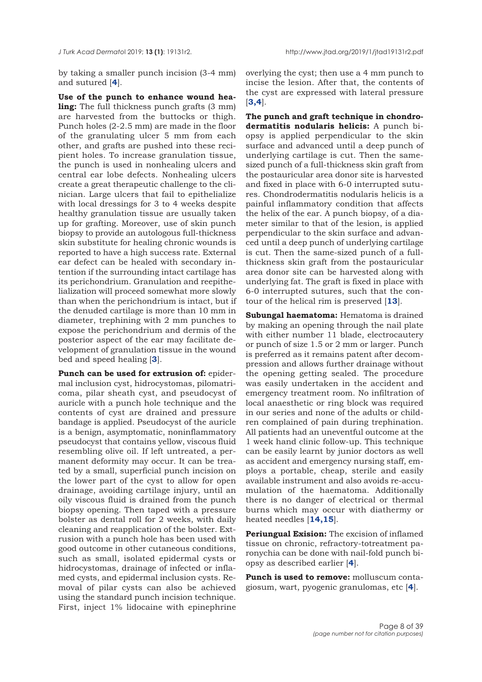by taking a smaller punch incision (3-4 mm) and sutured [**4**].

**Use of the punch to enhance wound healing:** The full thickness punch grafts (3 mm) are harvested from the buttocks or thigh. Punch holes (2-2.5 mm) are made in the floor of the granulating ulcer 5 mm from each other, and grafts are pushed into these recipient holes. To increase granulation tissue, the punch is used in nonhealing ulcers and central ear lobe defects. Nonhealing ulcers create a great therapeutic challenge to the clinician. Large ulcers that fail to epithelialize with local dressings for 3 to 4 weeks despite healthy granulation tissue are usually taken up for grafting. Moreover, use of skin punch biopsy to provide an autologous full-thickness skin substitute for healing chronic wounds is reported to have a high success rate. External ear defect can be healed with secondary intention if the surrounding intact cartilage has its perichondrium. Granulation and reepithelialization will proceed somewhat more slowly than when the perichondrium is intact, but if the denuded cartilage is more than 10 mm in diameter, trephining with 2 mm punches to expose the perichondrium and dermis of the posterior aspect of the ear may facilitate development of granulation tissue in the wound bed and speed healing [**3**].

**Punch can be used for extrusion of:** epidermal inclusion cyst, hidrocystomas, pilomatricoma, pilar sheath cyst, and pseudocyst of auricle with a punch hole technique and the contents of cyst are drained and pressure bandage is applied. Pseudocyst of the auricle is a benign, asymptomatic, noninflammatory pseudocyst that contains yellow, viscous fluid resembling olive oil. If left untreated, a permanent deformity may occur. It can be treated by a small, superficial punch incision on the lower part of the cyst to allow for open drainage, avoiding cartilage injury, until an oily viscous fluid is drained from the punch biopsy opening. Then taped with a pressure bolster as dental roll for 2 weeks, with daily cleaning and reapplication of the bolster. Extrusion with a punch hole has been used with good outcome in other cutaneous conditions, such as small, isolated epidermal cysts or hidrocystomas, drainage of infected or inflamed cysts, and epidermal inclusion cysts. Removal of pilar cysts can also be achieved using the standard punch incision technique. First, inject 1% lidocaine with epinephrine

overlying the cyst; then use a 4 mm punch to incise the lesion. After that, the contents of the cyst are expressed with lateral pressure [**3,4**].

**The punch and graft technique in chondrodermatitis nodularis helicis:** A punch biopsy is applied perpendicular to the skin surface and advanced until a deep punch of underlying cartilage is cut. Then the samesized punch of a full-thickness skin graft from the postauricular area donor site is harvested and fixed in place with 6-0 interrupted sutures. Chondrodermatitis nodularis helicis is a painful inflammatory condition that affects the helix of the ear. A punch biopsy, of a diameter similar to that of the lesion, is applied perpendicular to the skin surface and advanced until a deep punch of underlying cartilage is cut. Then the same-sized punch of a fullthickness skin graft from the postauricular area donor site can be harvested along with underlying fat. The graft is fixed in place with 6-0 interrupted sutures, such that the contour of the helical rim is preserved [**[13](#page-36-0)**].

**Subungal haematoma:** Hematoma is drained by making an opening through the nail plate with either number 11 blade, electrocautery or punch of size 1.5 or 2 mm or larger. Punch is preferred as it remains patent after decompression and allows further drainage without the opening getting sealed. The procedure was easily undertaken in the accident and emergency treatment room. No infiltration of local anaesthetic or ring block was required in our series and none of the adults or children complained of pain during trephination. All patients had an uneventful outcome at the 1 week hand clinic follow-up. This technique can be easily learnt by junior doctors as well as accident and emergency nursing staff, employs a portable, cheap, sterile and easily available instrument and also avoids re-accumulation of the haematoma. Additionally there is no danger of electrical or thermal burns which may occur with diathermy or heated needles [**[14,15](#page-36-0)**].

**Periungual Exision:** The excision of inflamed tissue on chronic, refractory-totreatment paronychia can be done with nail-fold punch biopsy as described earlier [**4**].

**Punch is used to remove:** molluscum contagiosum, wart, pyogenic granulomas, etc [**4**].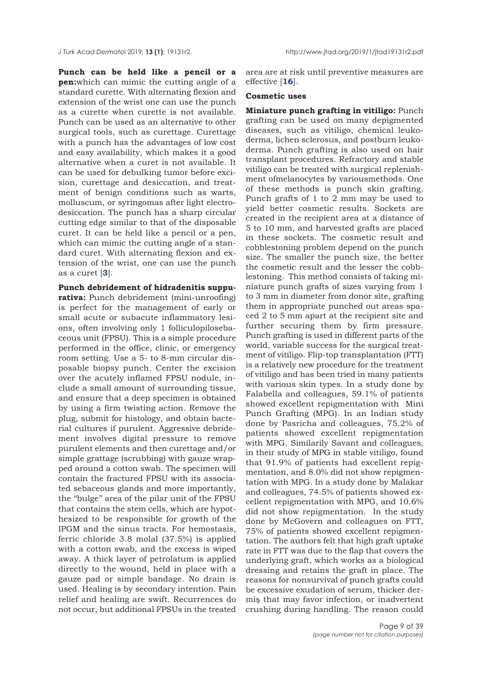**Punch can be held like a pencil or a pen:**which can mimic the cutting angle of a standard curette. With alternating flexion and extension of the wrist one can use the punch as a curette when curette is not available. Punch can be used as an alternative to other surgical tools, such as curettage. Curettage with a punch has the advantages of low cost and easy availability, which makes it a good alternative when a curet is not available. It can be used for debulking tumor before excision, curettage and desiccation, and treatment of benign conditions such as warts, molluscum, or syringomas after light electrodesiccation. The punch has a sharp circular cutting edge similar to that of the disposable curet. It can be held like a pencil or a pen, which can mimic the cutting angle of a standard curet. With alternating flexion and extension of the wrist, one can use the punch as a curet [**3**].

**Punch debridement of hidradenitis suppu-**

**rativa:** Punch debridement (mini-unroofing) is perfect for the management of early or small acute or subacute inflammatory lesions, often involving only 1 folliculopilosebaceous unit (FPSU). This is a simple procedure performed in the office, clinic, or emergency room setting. Use a 5- to 8-mm circular disposable biopsy punch. Center the excision over the acutely inflamed FPSU nodule, include a small amount of surrounding tissue, and ensure that a deep specimen is obtained by using a firm twisting action. Remove the plug, submit for histology, and obtain bacterial cultures if purulent. Aggressive debridement involves digital pressure to remove purulent elements and then curettage and/or simple grattage (scrubbing) with gauze wrapped around a cotton swab. The specimen will contain the fractured FPSU with its associated sebaceous glands and more importantly, the ''bulge'' area of the pilar unit of the FPSU that contains the stem cells, which are hypothesized to be responsible for growth of the IPGM and the sinus tracts. For hemostasis, ferric chloride 3.8 molal (37.5%) is applied with a cotton swab, and the excess is wiped away. A thick layer of petrolatum is applied directly to the wound, held in place with a gauze pad or simple bandage. No drain is used. Healing is by secondary intention. Pain relief and healing are swift. Recurrences do not occur, but additional FPSUs in the treated

area are at risk until preventive measures are effective [**[16](#page-36-0)**].

#### **Cosmetic uses**

**Miniature punch grafting in vitiligo:** Punch grafting can be used on many depigmented diseases, such as vitiligo, chemical leukoderma, lichen sclerosus, and postburn leukoderma. Punch grafting is also used on hair transplant procedures. Refractory and stable vitiligo can be treated with surgical replenishment ofmelanocytes by variousmethods. One of these methods is punch skin grafting. Punch grafts of 1 to 2 mm may be used to yield better cosmetic results. Sockets are created in the recipient area at a distance of 5 to 10 mm, and harvested grafts are placed in these sockets. The cosmetic result and cobblestoning problem depend on the punch size. The smaller the punch size, the better the cosmetic result and the lesser the cobblestoning. This method consists of taking miniature punch grafts of sizes varying from 1 to 3 mm in diameter from donor site, grafting them in appropriate punched out areas spaced 2 to 5 mm apart at the recipient site and further securing them by firm pressure. Punch grafting is used in different parts of the world, variable success for the surgical treatment of vitiligo. Flip-top transplantation (FTT) is a relatively new procedure for the treatment of vitiligo and has been tried in many patients with various skin types. In a study done by Falabella and colleagues, 59.1% of patients showed excellent repigmentation with Mini Punch Grafting (MPG). In an Indian study done by Pasricha and colleagues, 75.2% of patients showed excellent repigmentation with MPG. Similarily Savant and colleagues, in their study of MPG in stable vitiligo, found that 91.9% of patients had excellent repigmentation, and 8.0% did not show repigmentation with MPG. In a study done by Malakar and colleagues, 74.5% of patients showed excellent repigmentation with MPG, and 10.6% did not show repigmentation. In the study done by McGovern and colleagues on FTT, 75% of patients showed excellent repigmentation. The authors felt that high graft uptake rate in FTT was due to the flap that covers the underlying graft, which works as a biological dressing and retains the graft in place. The reasons for nonsurvival of punch grafts could be excessive exudation of serum, thicker dermiş that may favor infection, or inadvertent crushing during handling. The reason could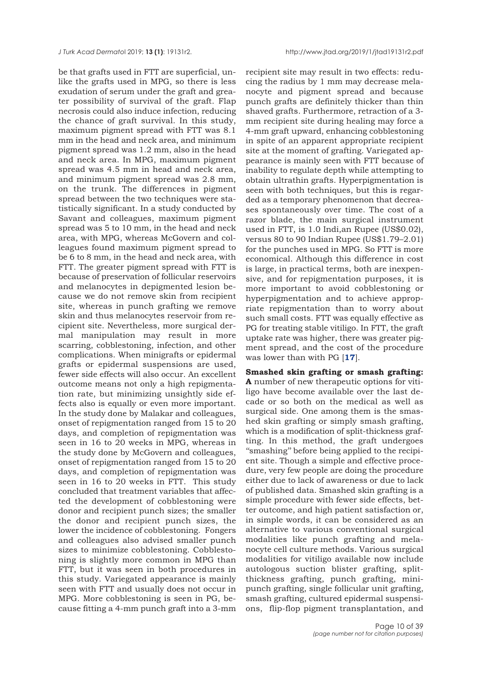be that grafts used in FTT are superficial, unlike the grafts used in MPG, so there is less exudation of serum under the graft and greater possibility of survival of the graft. Flap necrosis could also induce infection, reducing the chance of graft survival. In this study, maximum pigment spread with FTT was 8.1 mm in the head and neck area, and minimum pigment spread was 1.2 mm, also in the head and neck area. In MPG, maximum pigment spread was 4.5 mm in head and neck area, and minimum pigment spread was 2.8 mm, on the trunk. The differences in pigment spread between the two techniques were statistically significant. In a study conducted by Savant and colleagues, maximum pigment spread was 5 to 10 mm, in the head and neck area, with MPG, whereas McGovern and colleagues found maximum pigment spread to be 6 to 8 mm, in the head and neck area, with FTT. The greater pigment spread with FTT is because of preservation of follicular reservoirs and melanocytes in depigmented lesion because we do not remove skin from recipient site, whereas in punch grafting we remove skin and thus melanocytes reservoir from recipient site. Nevertheless, more surgical dermal manipulation may result in more scarring, cobblestoning, infection, and other complications. When minigrafts or epidermal grafts or epidermal suspensions are used, fewer side effects will also occur. An excellent outcome means not only a high repigmentation rate, but minimizing unsightly side effects also is equally or even more important. In the study done by Malakar and colleagues, onset of repigmentation ranged from 15 to 20 days, and completion of repigmentation was seen in 16 to 20 weeks in MPG, whereas in the study done by McGovern and colleagues, onset of repigmentation ranged from 15 to 20 days, and completion of repigmentation was seen in 16 to 20 weeks in FTT. This study concluded that treatment variables that affected the development of cobblestoning were donor and recipient punch sizes; the smaller the donor and recipient punch sizes, the lower the incidence of cobblestoning. Fongers and colleagues also advised smaller punch sizes to minimize cobblestoning. Cobblestoning is slightly more common in MPG than FTT, but it was seen in both procedures in this study. Variegated appearance is mainly seen with FTT and usually does not occur in MPG. More cobblestoning is seen in PG, because fitting a 4-mm punch graft into a 3-mm

recipient site may result in two effects: reducing the radius by 1 mm may decrease melanocyte and pigment spread and because punch grafts are definitely thicker than thin shaved grafts. Furthermore, retraction of a 3 mm recipient site during healing may force a 4-mm graft upward, enhancing cobblestoning in spite of an apparent appropriate recipient site at the moment of grafting. Variegated appearance is mainly seen with FTT because of inability to regulate depth while attempting to obtain ultrathin grafts. Hyperpigmentation is seen with both techniques, but this is regarded as a temporary phenomenon that decreases spontaneously over time. The cost of a razor blade, the main surgical instrument used in FTT, is 1.0 Indi,an Rupee (US\$0.02), versus 80 to 90 Indian Rupee (US\$1.79–2.01) for the punches used in MPG. So FTT is more economical. Although this difference in cost is large, in practical terms, both are inexpensive, and for repigmentation purposes, it is more important to avoid cobblestoning or hyperpigmentation and to achieve appropriate repigmentation than to worry about such small costs. FTT was equally effective as PG for treating stable vitiligo. In FTT, the graft uptake rate was higher, there was greater pigment spread, and the cost of the procedure was lower than with PG [**[17](#page-36-0)**].

**Smashed skin grafting or smash grafting: A** number of new therapeutic options for vitiligo have become available over the last decade or so both on the medical as well as surgical side. One among them is the smashed skin grafting or simply smash grafting, which is a modification of split-thickness grafting. In this method, the graft undergoes ''smashing'' before being applied to the recipient site. Though a simple and effective procedure, very few people are doing the procedure either due to lack of awareness or due to lack of published data. Smashed skin grafting is a simple procedure with fewer side effects, better outcome, and high patient satisfaction or, in simple words, it can be considered as an alternative to various conventional surgical modalities like punch grafting and melanocyte cell culture methods. Various surgical modalities for vitiligo available now include autologous suction blister grafting, splitthickness grafting, punch grafting, minipunch grafting, single follicular unit grafting, smash grafting, cultured epidermal suspensions, flip-flop pigment transplantation, and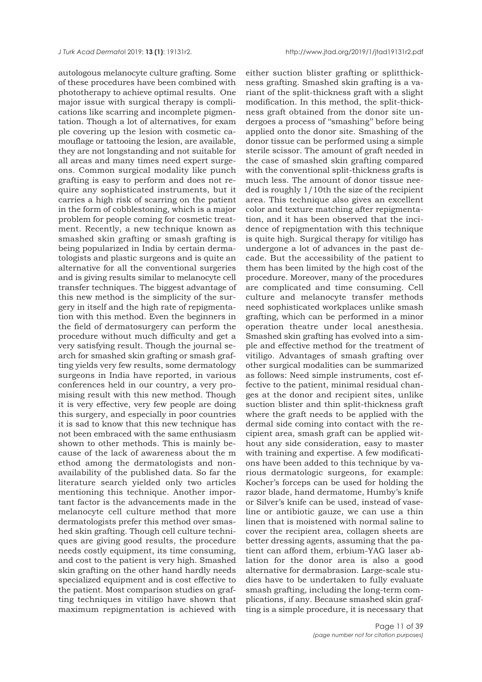autologous melanocyte culture grafting. Some of these procedures have been combined with phototherapy to achieve optimal results. One major issue with surgical therapy is complications like scarring and incomplete pigmentation. Though a lot of alternatives, for exam ple covering up the lesion with cosmetic camouflage or tattooing the lesion, are available, they are not longstanding and not suitable for all areas and many times need expert surgeons. Common surgical modality like punch grafting is easy to perform and does not require any sophisticated instruments, but it carries a high risk of scarring on the patient in the form of cobblestoning, which is a major problem for people coming for cosmetic treatment. Recently, a new technique known as smashed skin grafting or smash grafting is being popularized in India by certain dermatologists and plastic surgeons and is quite an alternative for all the conventional surgeries and is giving results similar to melanocyte cell transfer techniques. The biggest advantage of this new method is the simplicity of the surgery in itself and the high rate of repigmentation with this method. Even the beginners in the field of dermatosurgery can perform the procedure without much difficulty and get a very satisfying result. Though the journal search for smashed skin grafting or smash grafting yields very few results, some dermatology surgeons in India have reported, in various conferences held in our country, a very promising result with this new method. Though it is very effective, very few people are doing this surgery, and especially in poor countries it is sad to know that this new technique has not been embraced with the same enthusiasm shown to other methods. This is mainly because of the lack of awareness about the m ethod among the dermatologists and nonavailability of the published data. So far the literature search yielded only two articles mentioning this technique. Another important factor is the advancements made in the melanocyte cell culture method that more dermatologists prefer this method over smashed skin grafting. Though cell culture techniques are giving good results, the procedure needs costly equipment, its time consuming, and cost to the patient is very high. Smashed skin grafting on the other hand hardly needs specialized equipment and is cost effective to the patient. Most comparison studies on grafting techniques in vitiligo have shown that maximum repigmentation is achieved with

either suction blister grafting or splitthickness grafting. Smashed skin grafting is a variant of the split-thickness graft with a slight modification. In this method, the split-thickness graft obtained from the donor site undergoes a process of ''smashing'' before being applied onto the donor site. Smashing of the donor tissue can be performed using a simple sterile scissor. The amount of graft needed in the case of smashed skin grafting compared with the conventional split-thickness grafts is much less. The amount of donor tissue needed is roughly 1/10th the size of the recipient area. This technique also gives an excellent color and texture matching after repigmentation, and it has been observed that the incidence of repigmentation with this technique is quite high. Surgical therapy for vitiligo has undergone a lot of advances in the past decade. But the accessibility of the patient to them has been limited by the high cost of the procedure. Moreover, many of the procedures are complicated and time consuming. Cell culture and melanocyte transfer methods need sophisticated workplaces unlike smash grafting, which can be performed in a minor operation theatre under local anesthesia. Smashed skin grafting has evolved into a simple and effective method for the treatment of vitiligo. Advantages of smash grafting over other surgical modalities can be summarized as follows: Need simple instruments, cost effective to the patient, minimal residual changes at the donor and recipient sites, unlike suction blister and thin split-thickness graft where the graft needs to be applied with the dermal side coming into contact with the recipient area, smash graft can be applied without any side consideration, easy to master with training and expertise. A few modifications have been added to this technique by various dermatologic surgeons, for example: Kocher's forceps can be used for holding the razor blade, hand dermatome, Humby's knife or Silver's knife can be used, instead of vaseline or antibiotic gauze, we can use a thin linen that is moistened with normal saline to cover the recipient area, collagen sheets are better dressing agents, assuming that the patient can afford them, erbium-YAG laser ablation for the donor area is also a good alternative for dermabrasion. Large-scale studies have to be undertaken to fully evaluate smash grafting, including the long-term complications, if any. Because smashed skin grafting is a simple procedure, it is necessary that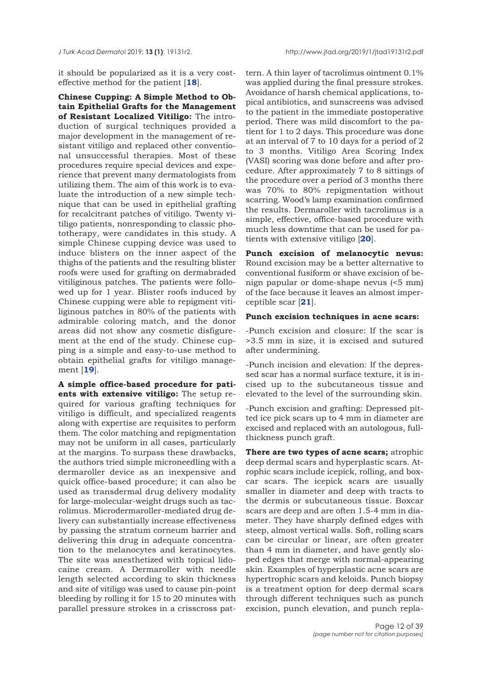it should be popularized as it is a very costeffective method for the patient [**[18](#page-36-0)**].

**Chinese Cupping: A Simple Method to Obtain Epithelial Grafts for the Management of Resistant Localized Vitiligo:** The introduction of surgical techniques provided a major development in the management of resistant vitiligo and replaced other conventional unsuccessful therapies. Most of these procedures require special devices and experience that prevent many dermatologists from utilizing them. The aim of this work is to evaluate the introduction of a new simple technique that can be used in epithelial grafting for recalcitrant patches of vitiligo. Twenty vitiligo patients, nonresponding to classic phototherapy, were candidates in this study. A simple Chinese cupping device was used to induce blisters on the inner aspect of the thighs of the patients and the resulting blister roofs were used for grafting on dermabraded vitiliginous patches. The patients were followed up for 1 year. Blister roofs induced by Chinese cupping were able to repigment vitiliginous patches in 80% of the patients with admirable coloring match, and the donor areas did not show any cosmetic disfigurement at the end of the study. Chinese cupping is a simple and easy-to-use method to obtain epithelial grafts for vitiligo management [**[19](#page-36-0)**].

**A simple office-based procedure for patients with extensive vitiligo:** The setup required for various grafting techniques for vitiligo is difficult, and specialized reagents along with expertise are requisites to perform them. The color matching and repigmentation may not be uniform in all cases, particularly at the margins. To surpass these drawbacks, the authors tried simple microneedling with a dermaroller device as an inexpensive and quick office-based procedure; it can also be used as transdermal drug delivery modality for large-molecular-weight drugs such as tacrolimus. Microdermaroller-mediated drug delivery can substantially increase effectiveness by passing the stratum corneum barrier and delivering this drug in adequate concentration to the melanocytes and keratinocytes. The site was anesthetized with topical lidocaine cream. A Dermaroller with needle length selected according to skin thickness and site of vitiligo was used to cause pin-point bleeding by rolling it for 15 to 20 minutes with parallel pressure strokes in a crisscross pattern. A thin layer of tacrolimus ointment 0.1% was applied during the final pressure strokes. Avoidance of harsh chemical applications, topical antibiotics, and sunscreens was advised to the patient in the immediate postoperative period. There was mild discomfort to the patient for 1 to 2 days. This procedure was done at an interval of 7 to 10 days for a period of 2 to 3 months. Vitiligo Area Scoring Index (VASI) scoring was done before and after procedure. After approximately 7 to 8 sittings of the procedure over a period of 3 months there was 70% to 80% repigmentation without scarring. Wood's lamp examination confirmed the results. Dermaroller with tacrolimus is a simple, effective, office-based procedure with much less downtime that can be used for patients with extensive vitiligo [**[20](#page-36-0)**].

**Punch excision of melanocytic nevus:** Round excision may be a better alternative to conventional fusiform or shave excision of benign papular or dome-shape nevus (<5 mm) of the face because it leaves an almost imperceptible scar [**[21](#page-37-0)**].

### **Punch excision techniques in acne scars:**

-Punch excision and closure: If the scar is >3.5 mm in size, it is excised and sutured after undermining.

-Punch incision and elevation: If the depressed scar has a normal surface texture, it is incised up to the subcutaneous tissue and elevated to the level of the surrounding skin.

-Punch excision and grafting: Depressed pitted ice pick scars up to 4 mm in diameter are excised and replaced with an autologous, fullthickness punch graft.

**There are two types of acne scars;** atrophic deep dermal scars and hyperplastic scars. Atrophic scars include icepick, rolling, and boxcar scars. The icepick scars are usually smaller in diameter and deep with tracts to the dermis or subcutaneous tissue. Boxcar scars are deep and are often 1.5-4 mm in diameter. They have sharply defined edges with steep, almost vertical walls. Soft, rolling scars can be circular or linear, are often greater than 4 mm in diameter, and have gently sloped edges that merge with normal-appearing skin. Examples of hyperplastic acne scars are hypertrophic scars and keloids. Punch biopsy is a treatment option for deep dermal scars through different techniques such as punch excision, punch elevation, and punch repla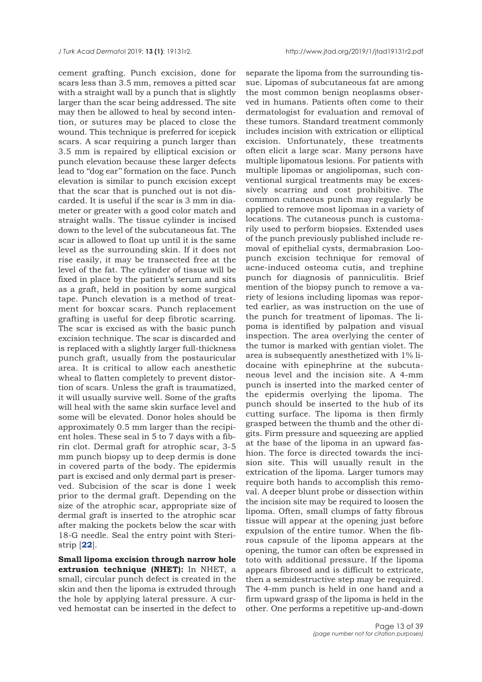cement grafting. Punch excision, done for scars less than 3.5 mm, removes a pitted scar with a straight wall by a punch that is slightly larger than the scar being addressed. The site may then be allowed to heal by second intention, or sutures may be placed to close the wound. This technique is preferred for icepick scars. A scar requiring a punch larger than 3.5 mm is repaired by elliptical excision or punch elevation because these larger defects lead to "dog ear" formation on the face. Punch elevation is similar to punch excision except that the scar that is punched out is not discarded. It is useful if the scar is 3 mm in diameter or greater with a good color match and straight walls. The tissue cylinder is incised down to the level of the subcutaneous fat. The scar is allowed to float up until it is the same level as the surrounding skin. If it does not rise easily, it may be transected free at the level of the fat. The cylinder of tissue will be fixed in place by the patient's serum and sits as a graft, held in position by some surgical tape. Punch elevation is a method of treatment for boxcar scars. Punch replacement grafting is useful for deep fibrotic scarring. The scar is excised as with the basic punch excision technique. The scar is discarded and is replaced with a slightly larger full-thickness punch graft, usually from the postauricular area. It is critical to allow each anesthetic wheal to flatten completely to prevent distortion of scars. Unless the graft is traumatized, it will usually survive well. Some of the grafts will heal with the same skin surface level and some will be elevated. Donor holes should be approximately 0.5 mm larger than the recipient holes. These seal in 5 to 7 days with a fibrin clot. Dermal graft for atrophic scar, 3-5 mm punch biopsy up to deep dermis is done in covered parts of the body. The epidermis part is excised and only dermal part is preserved. Subcision of the scar is done 1 week prior to the dermal graft. Depending on the size of the atrophic scar, appropriate size of dermal graft is inserted to the atrophic scar after making the pockets below the scar with 18-G needle. Seal the entry point with Steristrip [**[22](#page-37-0)**].

**Small lipoma excision through narrow hole extrusion technique (NHET):** In NHET, a small, circular punch defect is created in the skin and then the lipoma is extruded through the hole by applying lateral pressure. A curved hemostat can be inserted in the defect to

separate the lipoma from the surrounding tissue. Lipomas of subcutaneous fat are among the most common benign neoplasms observed in humans. Patients often come to their dermatologist for evaluation and removal of these tumors. Standard treatment commonly includes incision with extrication or elliptical excision. Unfortunately, these treatments often elicit a large scar. Many persons have multiple lipomatous lesions. For patients with multiple lipomas or angiolipomas, such conventional surgical treatments may be excessively scarring and cost prohibitive. The common cutaneous punch may regularly be applied to remove most lipomas in a variety of locations. The cutaneous punch is customarily used to perform biopsies. Extended uses of the punch previously published include removal of epithelial cysts, dermabrasion Loopunch excision technique for removal of acne-induced osteoma cutis, and trephine punch for diagnosis of panniculitis. Brief mention of the biopsy punch to remove a variety of lesions including lipomas was reported earlier, as was instruction on the use of the punch for treatment of lipomas. The lipoma is identified by palpation and visual inspection. The area overlying the center of the tumor is marked with gentian violet. The area is subsequently anesthetized with 1% lidocaine with epinephrine at the subcutaneous level and the incision site. A 4-mm punch is inserted into the marked center of the epidermis overlying the lipoma. The punch should be inserted to the hub of its cutting surface. The lipoma is then firmly grasped between the thumb and the other digits. Firm pressure and squeezing are applied at the base of the lipoma in an upward fashion. The force is directed towards the incision site. This will usually result in the extrication of the lipoma. Larger tumors may require both hands to accomplish this removal. A deeper blunt probe or dissection within the incision site may be required to loosen the lipoma. Often, small clumps of fatty fibrous tissue will appear at the opening just before expulsion of the entire tumor. When the fibrous capsule of the lipoma appears at the opening, the tumor can often be expressed in toto with additional pressure. If the lipoma appears fibrosed and is difficult to extricate, then a semidestructive step may be required. The 4-mm punch is held in one hand and a firm upward grasp of the lipoma is held in the other. One performs a repetitive up-and-down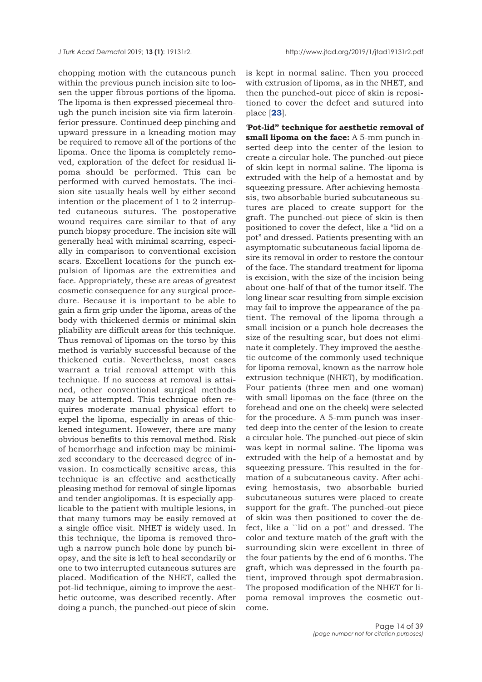chopping motion with the cutaneous punch within the previous punch incision site to loosen the upper fibrous portions of the lipoma. The lipoma is then expressed piecemeal through the punch incision site via firm lateroinferior pressure. Continued deep pinching and upward pressure in a kneading motion may be required to remove all of the portions of the lipoma. Once the lipoma is completely removed, exploration of the defect for residual lipoma should be performed. This can be performed with curved hemostats. The incision site usually heals well by either second intention or the placement of 1 to 2 interrupted cutaneous sutures. The postoperative wound requires care similar to that of any punch biopsy procedure. The incision site will generally heal with minimal scarring, especially in comparison to conventional excision scars. Excellent locations for the punch expulsion of lipomas are the extremities and face. Appropriately, these are areas of greatest cosmetic consequence for any surgical procedure. Because it is important to be able to gain a firm grip under the lipoma, areas of the body with thickened dermis or minimal skin pliability are difficult areas for this technique. Thus removal of lipomas on the torso by this method is variably successful because of the thickened cutis. Nevertheless, most cases warrant a trial removal attempt with this technique. If no success at removal is attained, other conventional surgical methods may be attempted. This technique often requires moderate manual physical effort to expel the lipoma, especially in areas of thickened integument. However, there are many obvious benefits to this removal method. Risk of hemorrhage and infection may be minimized secondary to the decreased degree of invasion. In cosmetically sensitive areas, this technique is an effective and aesthetically pleasing method for removal of single lipomas and tender angiolipomas. It is especially applicable to the patient with multiple lesions, in that many tumors may be easily removed at a single office visit. NHET is widely used. In this technique, the lipoma is removed through a narrow punch hole done by punch biopsy, and the site is left to heal secondarily or one to two interrupted cutaneous sutures are placed. Modification of the NHET, called the pot-lid technique, aiming to improve the aesthetic outcome, was described recently. After doing a punch, the punched-out piece of skin

is kept in normal saline. Then you proceed with extrusion of lipoma, as in the NHET, and then the punched-out piece of skin is repositioned to cover the defect and sutured into place [**[23](#page-37-0)**].

'**Pot-lid" technique for aesthetic removal of small lipoma on the face:** A 5-mm punch inserted deep into the center of the lesion to create a circular hole. The punched-out piece of skin kept in normal saline. The lipoma is extruded with the help of a hemostat and by squeezing pressure. After achieving hemostasis, two absorbable buried subcutaneous sutures are placed to create support for the graft. The punched-out piece of skin is then positioned to cover the defect, like a "lid on a pot" and dressed. Patients presenting with an asymptomatic subcutaneous facial lipoma desire its removal in order to restore the contour of the face. The standard treatment for lipoma is excision, with the size of the incision being about one-half of that of the tumor itself. The long linear scar resulting from simple excision may fail to improve the appearance of the patient. The removal of the lipoma through a small incision or a punch hole decreases the size of the resulting scar, but does not eliminate it completely. They improved the aesthetic outcome of the commonly used technique for lipoma removal, known as the narrow hole extrusion technique (NHET), by modification. Four patients (three men and one woman) with small lipomas on the face (three on the forehead and one on the cheek) were selected for the procedure. A 5-mm punch was inserted deep into the center of the lesion to create a circular hole. The punched-out piece of skin was kept in normal saline. The lipoma was extruded with the help of a hemostat and by squeezing pressure. This resulted in the formation of a subcutaneous cavity. After achieving hemostasis, two absorbable buried subcutaneous sutures were placed to create support for the graft. The punched-out piece of skin was then positioned to cover the defect, like a ``lid on a pot'' and dressed. The color and texture match of the graft with the surrounding skin were excellent in three of the four patients by the end of 6 months. The graft, which was depressed in the fourth patient, improved through spot dermabrasion. The proposed modification of the NHET for lipoma removal improves the cosmetic outcome.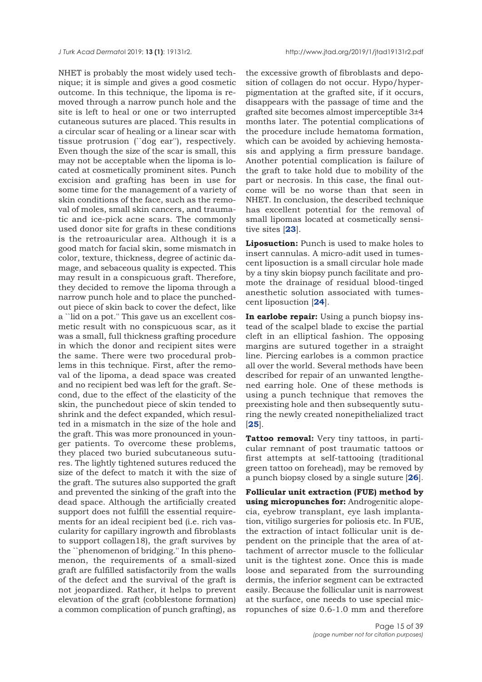NHET is probably the most widely used technique; it is simple and gives a good cosmetic outcome. In this technique, the lipoma is removed through a narrow punch hole and the site is left to heal or one or two interrupted cutaneous sutures are placed. This results in a circular scar of healing or a linear scar with tissue protrusion (``dog ear''), respectively. Even though the size of the scar is small, this may not be acceptable when the lipoma is located at cosmetically prominent sites. Punch excision and grafting has been in use for some time for the management of a variety of skin conditions of the face, such as the removal of moles, small skin cancers, and traumatic and ice-pick acne scars. The commonly used donor site for grafts in these conditions is the retroauricular area. Although it is a good match for facial skin, some mismatch in color, texture, thickness, degree of actinic damage, and sebaceous quality is expected. This may result in a conspicuous graft. Therefore, they decided to remove the lipoma through a narrow punch hole and to place the punchedout piece of skin back to cover the defect, like a ``lid on a pot.'' This gave us an excellent cosmetic result with no conspicuous scar, as it was a small, full thickness grafting procedure in which the donor and recipient sites were the same. There were two procedural problems in this technique. First, after the removal of the lipoma, a dead space was created and no recipient bed was left for the graft. Second, due to the effect of the elasticity of the skin, the punchedout piece of skin tended to shrink and the defect expanded, which resulted in a mismatch in the size of the hole and the graft. This was more pronounced in younger patients. To overcome these problems, they placed two buried subcutaneous sutures. The lightly tightened sutures reduced the size of the defect to match it with the size of the graft. The sutures also supported the graft and prevented the sinking of the graft into the dead space. Although the artificially created support does not fulfill the essential requirements for an ideal recipient bed (i.e. rich vascularity for capillary ingrowth and fibroblasts to support collagen18), the graft survives by the ``phenomenon of bridging.'' In this phenomenon, the requirements of a small-sized graft are fulfilled satisfactorily from the walls of the defect and the survival of the graft is not jeopardized. Rather, it helps to prevent elevation of the graft (cobblestone formation) a common complication of punch grafting), as

the excessive growth of fibroblasts and deposition of collagen do not occur. Hypo/hyperpigmentation at the grafted site, if it occurs, disappears with the passage of time and the grafted site becomes almost imperceptible 3±4 months later. The potential complications of the procedure include hematoma formation, which can be avoided by achieving hemostasis and applying a firm pressure bandage. Another potential complication is failure of the graft to take hold due to mobility of the part or necrosis. In this case, the final outcome will be no worse than that seen in NHET. In conclusion, the described technique has excellent potential for the removal of small lipomas located at cosmetically sensitive sites [**23**].

**Liposuction:** Punch is used to make holes to insert cannulas. A micro-adit used in tumescent liposuction is a small circular hole made by a tiny skin biopsy punch facilitate and promote the drainage of residual blood-tinged anesthetic solution associated with tumescent liposuction [**[24](#page-37-0)**].

**In earlobe repair:** Using a punch biopsy instead of the scalpel blade to excise the partial cleft in an elliptical fashion. The opposing margins are sutured together in a straight line. Piercing earlobes is a common practice all over the world. Several methods have been described for repair of an unwanted lengthened earring hole. One of these methods is using a punch technique that removes the preexisting hole and then subsequently suturing the newly created nonepithelialized tract [**[25](#page-37-0)**].

**Tattoo removal:** Very tiny tattoos, in particular remnant of post traumatic tattoos or first attempts at self-tattooing (traditional green tattoo on forehead), may be removed by a punch biopsy closed by a single suture [**[26](#page-37-0)**].

**Follicular unit extraction (FUE) method by using micropunches for:** Androgenitic alopecia, eyebrow transplant, eye lash implantation, vitiligo surgeries for poliosis etc. In FUE, the extraction of intact follicular unit is dependent on the principle that the area of attachment of arrector muscle to the follicular unit is the tightest zone. Once this is made loose and separated from the surrounding dermis, the inferior segment can be extracted easily. Because the follicular unit is narrowest at the surface, one needs to use special micropunches of size 0.6-1.0 mm and therefore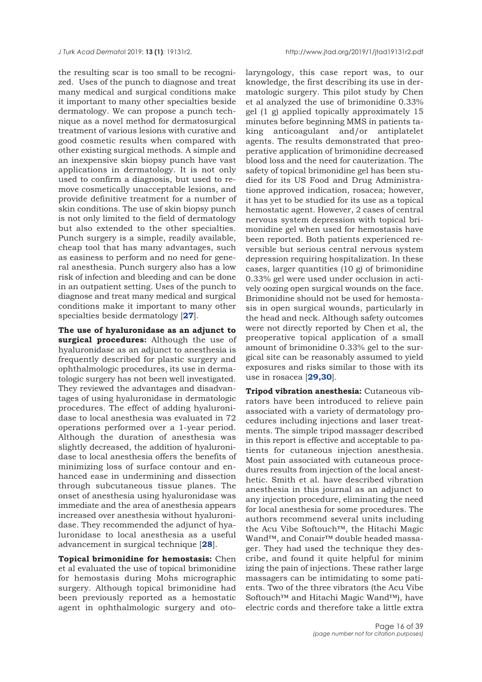the resulting scar is too small to be recognized. Uses of the punch to diagnose and treat many medical and surgical conditions make it important to many other specialties beside dermatology. We can propose a punch technique as a novel method for dermatosurgical treatment of various lesions with curative and good cosmetic results when compared with other existing surgical methods. A simple and an inexpensive skin biopsy punch have vast applications in dermatology. It is not only used to confirm a diagnosis, but used to remove cosmetically unacceptable lesions, and provide definitive treatment for a number of skin conditions. The use of skin biopsy punch is not only limited to the field of dermatology but also extended to the other specialties. Punch surgery is a simple, readily available, cheap tool that has many advantages, such as easiness to perform and no need for general anesthesia. Punch surgery also has a low risk of infection and bleeding and can be done in an outpatient setting. Uses of the punch to diagnose and treat many medical and surgical conditions make it important to many other specialties beside dermatology [**[27](#page-37-0)**].

**The use of hyaluronidase as an adjunct to surgical procedures:** Although the use of hyaluronidase as an adjunct to anesthesia is frequently described for plastic surgery and ophthalmologic procedures, its use in dermatologic surgery has not been well investigated. They reviewed the advantages and disadvantages of using hyaluronidase in dermatologic procedures. The effect of adding hyaluronidase to local anesthesia was evaluated in 72 operations performed over a 1-year period. Although the duration of anesthesia was slightly decreased, the addition of hyaluronidase to local anesthesia offers the benefits of minimizing loss of surface contour and enhanced ease in undermining and dissection through subcutaneous tissue planes. The onset of anesthesia using hyaluronidase was immediate and the area of anesthesia appears increased over anesthesia without hyaluronidase. They recommended the adjunct of hyaluronidase to local anesthesia as a useful advancement in surgical technique [**[28](#page-37-0)**].

**Topical brimonidine for hemostasis:** Chen et al evaluated the use of topical brimonidine for hemostasis during Mohs micrographic surgery. Although topical brimonidine had been previously reported as a hemostatic agent in ophthalmologic surgery and otolaryngology, this case report was, to our knowledge, the first describing its use in dermatologic surgery. This pilot study by Chen et al analyzed the use of brimonidine 0.33% gel (1 g) applied topically approximately 15 minutes before beginning MMS in patients taking anticoagulant and/or antiplatelet agents. The results demonstrated that preoperative application of brimonidine decreased blood loss and the need for cauterization. The safety of topical brimonidine gel has been studied for its US Food and Drug Administratione approved indication, rosacea; however, it has yet to be studied for its use as a topical hemostatic agent. However, 2 cases of central nervous system depression with topical brimonidine gel when used for hemostasis have been reported. Both patients experienced reversible but serious central nervous system depression requiring hospitalization. In these cases, larger quantities (10 g) of brimonidine 0.33% gel were used under occlusion in actively oozing open surgical wounds on the face. Brimonidine should not be used for hemostasis in open surgical wounds, particularly in the head and neck. Although safety outcomes were not directly reported by Chen et al, the preoperative topical application of a small amount of brimonidine 0.33% gel to the surgical site can be reasonably assumed to yield exposures and risks similar to those with its use in rosacea [**[29,30](#page-37-0)**].

**Tripod vibration anesthesia:** Cutaneous vibrators have been introduced to relieve pain associated with a variety of dermatology procedures including injections and laser treatments. The simple tripod massager described in this report is effective and acceptable to patients for cutaneous injection anesthesia. Most pain associated with cutaneous procedures results from injection of the local anesthetic. Smith et al. have described vibration anesthesia in this journal as an adjunct to any injection procedure, eliminating the need for local anesthesia for some procedures. The authors recommend several units including the Acu Vibe Softouch™, the Hitachi Magic Wand™, and Conair™ double headed massager. They had used the technique they describe, and found it quite helpful for minim izing the pain of injections. These rather large massagers can be intimidating to some patients. Two of the three vibrators (the Acu Vibe Softouch™ and Hitachi Magic Wand™), have electric cords and therefore take a little extra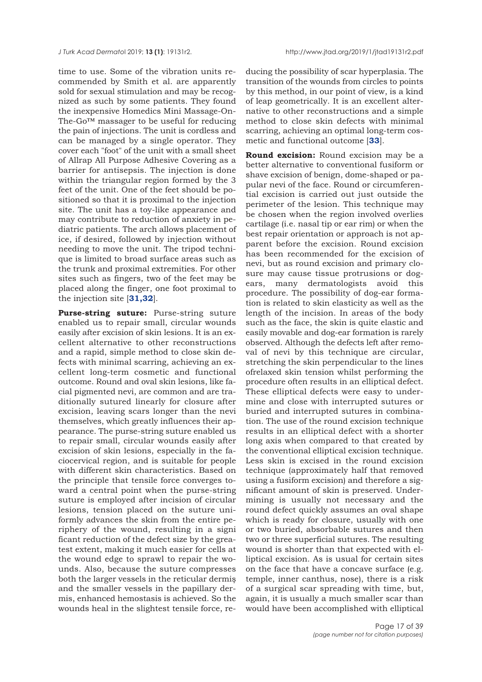time to use. Some of the vibration units recommended by Smith et al. are apparently sold for sexual stimulation and may be recognized as such by some patients. They found the inexpensive Homedics Mini Massage-On-The-Go™ massager to be useful for reducing the pain of injections. The unit is cordless and can be managed by a single operator. They cover each "foot" of the unit with a small sheet of Allrap All Purpose Adhesive Covering as a barrier for antisepsis. The injection is done within the triangular region formed by the 3 feet of the unit. One of the feet should be positioned so that it is proximal to the injection site. The unit has a toy-like appearance and may contribute to reduction of anxiety in pediatric patients. The arch allows placement of ice, if desired, followed by injection without needing to move the unit. The tripod technique is limited to broad surface areas such as the trunk and proximal extremities. For other sites such as fingers, two of the feet may be placed along the finger, one foot proximal to the injection site [**[31,32](#page-37-0)**].

**Purse-string suture:** Purse-string suture enabled us to repair small, circular wounds easily after excision of skin lesions. It is an excellent alternative to other reconstructions and a rapid, simple method to close skin defects with minimal scarring, achieving an excellent long-term cosmetic and functional outcome. Round and oval skin lesions, like facial pigmented nevi, are common and are traditionally sutured linearly for closure after excision, leaving scars longer than the nevi themselves, which greatly influences their appearance. The purse-string suture enabled us to repair small, circular wounds easily after excision of skin lesions, especially in the faciocervical region, and is suitable for people with different skin characteristics. Based on the principle that tensile force converges toward a central point when the purse-string suture is employed after incision of circular lesions, tension placed on the suture uniformly advances the skin from the entire periphery of the wound, resulting in a signi ficant reduction of the defect size by the greatest extent, making it much easier for cells at the wound edge to sprawl to repair the wounds. Also, because the suture compresses both the larger vessels in the reticular dermiş and the smaller vessels in the papillary dermis, enhanced hemostasis is achieved. So the wounds heal in the slightest tensile force, re-

ducing the possibility of scar hyperplasia. The transition of the wounds from circles to points by this method, in our point of view, is a kind of leap geometrically. It is an excellent alternative to other reconstructions and a simple method to close skin defects with minimal scarring, achieving an optimal long-term cosmetic and functional outcome [**[33](#page-37-0)**].

**Round excision:** Round excision may be a better alternative to conventional fusiform or shave excision of benign, dome-shaped or papular nevi of the face. Round or circumferential excision is carried out just outside the perimeter of the lesion. This technique may be chosen when the region involved overlies cartilage (i.e. nasal tip or ear rim) or when the best repair orientation or approach is not apparent before the excision. Round excision has been recommended for the excision of nevi, but as round excision and primary closure may cause tissue protrusions or dogears, many dermatologists avoid this procedure. The possibility of dog-ear formation is related to skin elasticity as well as the length of the incision. In areas of the body such as the face, the skin is quite elastic and easily movable and dog-ear formation is rarely observed. Although the defects left after removal of nevi by this technique are circular, stretching the skin perpendicular to the lines ofrelaxed skin tension whilst performing the procedure often results in an elliptical defect. These elliptical defects were easy to undermine and close with interrupted sutures or buried and interrupted sutures in combination. The use of the round excision technique results in an elliptical defect with a shorter long axis when compared to that created by the conventional elliptical excision technique. Less skin is excised in the round excision technique (approximately half that removed using a fusiform excision) and therefore a significant amount of skin is preserved. Undermining is usually not necessary and the round defect quickly assumes an oval shape which is ready for closure, usually with one or two buried, absorbable sutures and then two or three superficial sutures. The resulting wound is shorter than that expected with elliptical excision. As is usual for certain sites on the face that have a concave surface (e.g. temple, inner canthus, nose), there is a risk of a surgical scar spreading with time, but, again, it is usually a much smaller scar than would have been accomplished with elliptical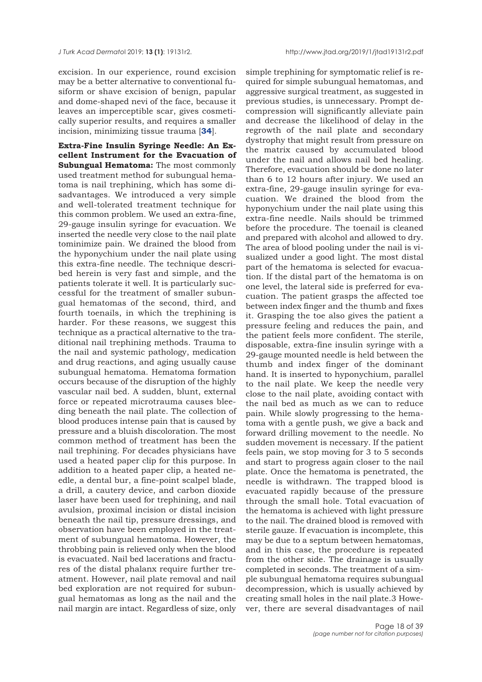#### *J Turk Acad Dermato*l 2019; **13 (1)**: 19131r2. http://www.jtad.org/2019/1/jtad19131r2.pdf

excision. In our experience, round excision may be a better alternative to conventional fusiform or shave excision of benign, papular and dome-shaped nevi of the face, because it leaves an imperceptible scar, gives cosmetically superior results, and requires a smaller incision, minimizing tissue trauma [**[34](#page-37-0)**].

**Extra-Fine Insulin Syringe Needle: An Excellent Instrument for the Evacuation of Subungual Hematoma:** The most commonly used treatment method for subungual hematoma is nail trephining, which has some disadvantages. We introduced a very simple and well-tolerated treatment technique for this common problem. We used an extra-fine, 29-gauge insulin syringe for evacuation. We inserted the needle very close to the nail plate tominimize pain. We drained the blood from the hyponychium under the nail plate using this extra-fine needle. The technique described herein is very fast and simple, and the patients tolerate it well. It is particularly successful for the treatment of smaller subungual hematomas of the second, third, and fourth toenails, in which the trephining is harder. For these reasons, we suggest this technique as a practical alternative to the traditional nail trephining methods. Trauma to the nail and systemic pathology, medication and drug reactions, and aging usually cause subungual hematoma. Hematoma formation occurs because of the disruption of the highly vascular nail bed. A sudden, blunt, external force or repeated microtrauma causes bleeding beneath the nail plate. The collection of blood produces intense pain that is caused by pressure and a bluish discoloration. The most common method of treatment has been the nail trephining. For decades physicians have used a heated paper clip for this purpose. In addition to a heated paper clip, a heated needle, a dental bur, a fine-point scalpel blade, a drill, a cautery device, and carbon dioxide laser have been used for trephining, and nail avulsion, proximal incision or distal incision beneath the nail tip, pressure dressings, and observation have been employed in the treatment of subungual hematoma. However, the throbbing pain is relieved only when the blood is evacuated. Nail bed lacerations and fractures of the distal phalanx require further treatment. However, nail plate removal and nail bed exploration are not required for subungual hematomas as long as the nail and the nail margin are intact. Regardless of size, only

simple trephining for symptomatic relief is required for simple subungual hematomas, and aggressive surgical treatment, as suggested in previous studies, is unnecessary. Prompt decompression will significantly alleviate pain and decrease the likelihood of delay in the regrowth of the nail plate and secondary dystrophy that might result from pressure on the matrix caused by accumulated blood under the nail and allows nail bed healing. Therefore, evacuation should be done no later than 6 to 12 hours after injury. We used an extra-fine, 29-gauge insulin syringe for evacuation. We drained the blood from the hyponychium under the nail plate using this extra-fine needle. Nails should be trimmed before the procedure. The toenail is cleaned and prepared with alcohol and allowed to dry. The area of blood pooling under the nail is visualized under a good light. The most distal part of the hematoma is selected for evacuation. If the distal part of the hematoma is on one level, the lateral side is preferred for evacuation. The patient grasps the affected toe between index finger and the thumb and fixes it. Grasping the toe also gives the patient a pressure feeling and reduces the pain, and the patient feels more confident. The sterile, disposable, extra-fine insulin syringe with a 29-gauge mounted needle is held between the thumb and index finger of the dominant hand. It is inserted to hyponychium, parallel to the nail plate. We keep the needle very close to the nail plate, avoiding contact with the nail bed as much as we can to reduce pain. While slowly progressing to the hematoma with a gentle push, we give a back and forward drilling movement to the needle. No sudden movement is necessary. If the patient feels pain, we stop moving for 3 to 5 seconds and start to progress again closer to the nail plate. Once the hematoma is penetrated, the needle is withdrawn. The trapped blood is evacuated rapidly because of the pressure through the small hole. Total evacuation of the hematoma is achieved with light pressure to the nail. The drained blood is removed with sterile gauze. If evacuation is incomplete, this may be due to a septum between hematomas, and in this case, the procedure is repeated from the other side. The drainage is usually completed in seconds. The treatment of a simple subungual hematoma requires subungual decompression, which is usually achieved by creating small holes in the nail plate.3 However, there are several disadvantages of nail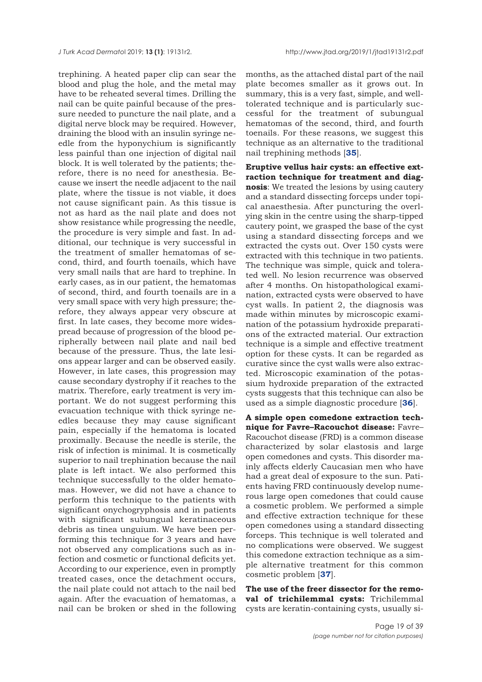trephining. A heated paper clip can sear the blood and plug the hole, and the metal may have to be reheated several times. Drilling the nail can be quite painful because of the pressure needed to puncture the nail plate, and a digital nerve block may be required. However, draining the blood with an insulin syringe needle from the hyponychium is significantly less painful than one injection of digital nail block. It is well tolerated by the patients; therefore, there is no need for anesthesia. Because we insert the needle adjacent to the nail plate, where the tissue is not viable, it does not cause significant pain. As this tissue is not as hard as the nail plate and does not show resistance while progressing the needle, the procedure is very simple and fast. In additional, our technique is very successful in the treatment of smaller hematomas of second, third, and fourth toenails, which have very small nails that are hard to trephine. In early cases, as in our patient, the hematomas of second, third, and fourth toenails are in a very small space with very high pressure; therefore, they always appear very obscure at first. In late cases, they become more widespread because of progression of the blood peripherally between nail plate and nail bed because of the pressure. Thus, the late lesions appear larger and can be observed easily. However, in late cases, this progression may cause secondary dystrophy if it reaches to the matrix. Therefore, early treatment is very important. We do not suggest performing this evacuation technique with thick syringe needles because they may cause significant pain, especially if the hematoma is located proximally. Because the needle is sterile, the risk of infection is minimal. It is cosmetically superior to nail trephination because the nail plate is left intact. We also performed this technique successfully to the older hematomas. However, we did not have a chance to perform this technique to the patients with significant onychogryphosis and in patients with significant subungual keratinaceous debris as tinea unguium. We have been performing this technique for 3 years and have not observed any complications such as infection and cosmetic or functional deficits yet. According to our experience, even in promptly treated cases, once the detachment occurs, the nail plate could not attach to the nail bed again. After the evacuation of hematomas, a nail can be broken or shed in the following

months, as the attached distal part of the nail plate becomes smaller as it grows out. In summary, this is a very fast, simple, and welltolerated technique and is particularly successful for the treatment of subungual hematomas of the second, third, and fourth toenails. For these reasons, we suggest this technique as an alternative to the traditional nail trephining methods [**[35](#page-37-0)**].

**Eruptive vellus hair cysts: an effective extraction technique for treatment and diagnosis**: We treated the lesions by using cautery and a standard dissecting forceps under topical anaesthesia. After puncturing the overlying skin in the centre using the sharp-tipped cautery point, we grasped the base of the cyst using a standard dissecting forceps and we extracted the cysts out. Over 150 cysts were extracted with this technique in two patients. The technique was simple, quick and tolerated well. No lesion recurrence was observed after 4 months. On histopathological examination, extracted cysts were observed to have cyst walls. In patient 2, the diagnosis was made within minutes by microscopic examination of the potassium hydroxide preparations of the extracted material. Our extraction technique is a simple and effective treatment option for these cysts. It can be regarded as curative since the cyst walls were also extracted. Microscopic examination of the potassium hydroxide preparation of the extracted cysts suggests that this technique can also be used as a simple diagnostic procedure [**[36](#page-37-0)**].

**A simple open comedone extraction technique for Favre–Racouchot disease:** Favre– Racouchot disease (FRD) is a common disease characterized by solar elastosis and large open comedones and cysts. This disorder mainly affects elderly Caucasian men who have had a great deal of exposure to the sun. Patients having FRD continuously develop numerous large open comedones that could cause a cosmetic problem. We performed a simple and effective extraction technique for these open comedones using a standard dissecting forceps. This technique is well tolerated and no complications were observed. We suggest this comedone extraction technique as a simple alternative treatment for this common cosmetic problem [**[37](#page-37-0)**].

**The use of the freer dissector for the removal of trichilemmal cysts:** Trichilemmal cysts are keratin-containing cysts, usually si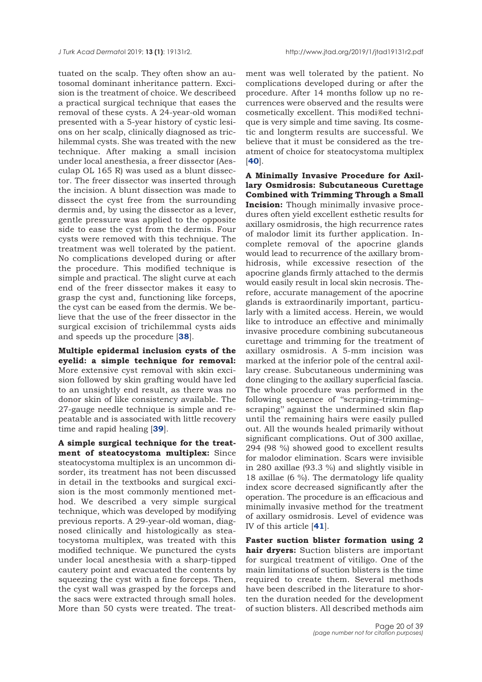tuated on the scalp. They often show an autosomal dominant inheritance pattern. Excision is the treatment of choice. We describeed a practical surgical technique that eases the removal of these cysts. A 24-year-old woman presented with a 5-year history of cystic lesions on her scalp, clinically diagnosed as trichilemmal cysts. She was treated with the new technique. After making a small incision under local anesthesia, a freer dissector (Aesculap OL 165 R) was used as a blunt dissector. The freer dissector was inserted through the incision. A blunt dissection was made to dissect the cyst free from the surrounding dermis and, by using the dissector as a lever, gentle pressure was applied to the opposite side to ease the cyst from the dermis. Four cysts were removed with this technique. The treatment was well tolerated by the patient. No complications developed during or after the procedure. This modified technique is simple and practical. The slight curve at each end of the freer dissector makes it easy to grasp the cyst and, functioning like forceps, the cyst can be eased from the dermis. We believe that the use of the freer dissector in the surgical excision of trichilemmal cysts aids and speeds up the procedure [**[38](#page-37-0)**].

**Multiple epidermal inclusion cysts of the eyelid: a simple technique for removal:** More extensive cyst removal with skin excision followed by skin grafting would have led to an unsightly end result, as there was no donor skin of like consistency available. The 27-gauge needle technique is simple and repeatable and is associated with little recovery time and rapid healing [**[39](#page-37-0)**].

**A simple surgical technique for the treatment of steatocystoma multiplex:** Since steatocystoma multiplex is an uncommon disorder, its treatment has not been discussed in detail in the textbooks and surgical excision is the most commonly mentioned method. We described a very simple surgical technique, which was developed by modifying previous reports. A 29-year-old woman, diagnosed clinically and histologically as steatocystoma multiplex, was treated with this modified technique. We punctured the cysts under local anesthesia with a sharp-tipped cautery point and evacuated the contents by squeezing the cyst with a fine forceps. Then, the cyst wall was grasped by the forceps and the sacs were extracted through small holes. More than 50 cysts were treated. The treat-

ment was well tolerated by the patient. No complications developed during or after the procedure. After 14 months follow up no recurrences were observed and the results were cosmetically excellent. This modi®ed technique is very simple and time saving. Its cosmetic and longterm results are successful. We believe that it must be considered as the treatment of choice for steatocystoma multiplex [**[40](#page-37-0)**].

**A Minimally Invasive Procedure for Axillary Osmidrosis: Subcutaneous Curettage Combined with Trimming Through a Small Incision:** Though minimally invasive procedures often yield excellent esthetic results for axillary osmidrosis, the high recurrence rates of malodor limit its further application. Incomplete removal of the apocrine glands would lead to recurrence of the axillary bromhidrosis, while excessive resection of the apocrine glands firmly attached to the dermis would easily result in local skin necrosis. Therefore, accurate management of the apocrine glands is extraordinarily important, particularly with a limited access. Herein, we would like to introduce an effective and minimally invasive procedure combining subcutaneous curettage and trimming for the treatment of axillary osmidrosis. A 5-mm incision was marked at the inferior pole of the central axillary crease. Subcutaneous undermining was done clinging to the axillary superficial fascia. The whole procedure was performed in the following sequence of ''scraping–trimming– scraping'' against the undermined skin flap until the remaining hairs were easily pulled out. All the wounds healed primarily without significant complications. Out of 300 axillae, 294 (98 %) showed good to excellent results for malodor elimination. Scars were invisible in 280 axillae (93.3 %) and slightly visible in 18 axillae (6 %). The dermatology life quality index score decreased significantly after the operation. The procedure is an efficacious and minimally invasive method for the treatment of axillary osmidrosis. Level of evidence was IV of this article [**[41](#page-37-0)**].

**Faster suction blister formation using 2 hair dryers:** Suction blisters are important for surgical treatment of vitiligo. One of the main limitations of suction blisters is the time required to create them. Several methods have been described in the literature to shorten the duration needed for the development of suction blisters. All described methods aim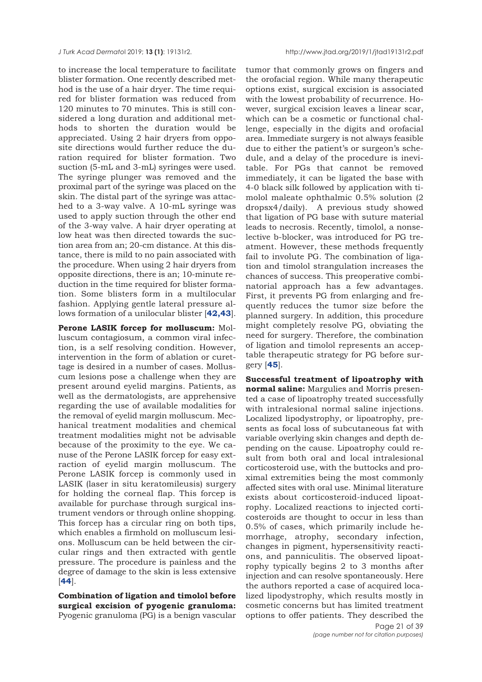to increase the local temperature to facilitate blister formation. One recently described method is the use of a hair dryer. The time required for blister formation was reduced from 120 minutes to 70 minutes. This is still considered a long duration and additional methods to shorten the duration would be appreciated. Using 2 hair dryers from opposite directions would further reduce the duration required for blister formation. Two suction (5-mL and 3-mL) syringes were used. The syringe plunger was removed and the proximal part of the syringe was placed on the skin. The distal part of the syringe was attached to a 3-way valve. A 10-mL syringe was used to apply suction through the other end of the 3-way valve. A hair dryer operating at low heat was then directed towards the suction area from an; 20-cm distance. At this distance, there is mild to no pain associated with the procedure. When using 2 hair dryers from opposite directions, there is an; 10-minute reduction in the time required for blister formation. Some blisters form in a multilocular fashion. Applying gentle lateral pressure allows formation of a unilocular blister [**[42,43](#page-37-0)**].

**Perone LASIK forcep for molluscum:** Molluscum contagiosum, a common viral infection, is a self resolving condition. However, intervention in the form of ablation or curettage is desired in a number of cases. Molluscum lesions pose a challenge when they are present around eyelid margins. Patients, as well as the dermatologists, are apprehensive regarding the use of available modalities for the removal of eyelid margin molluscum. Mechanical treatment modalities and chemical treatment modalities might not be advisable because of the proximity to the eye. We canuse of the Perone LASIK forcep for easy extraction of eyelid margin molluscum. The Perone LASIK forcep is commonly used in LASIK (laser in situ keratomileusis) surgery for holding the corneal flap. This forcep is available for purchase through surgical instrument vendors or through online shopping. This forcep has a circular ring on both tips, which enables a firmhold on molluscum lesions. Molluscum can be held between the circular rings and then extracted with gentle pressure. The procedure is painless and the degree of damage to the skin is less extensive [**[44](#page-37-0)**].

### **Combination of ligation and timolol before surgical excision of pyogenic granuloma:** Pyogenic granuloma (PG) is a benign vascular

tumor that commonly grows on fingers and the orofacial region. While many therapeutic options exist, surgical excision is associated with the lowest probability of recurrence. However, surgical excision leaves a linear scar, which can be a cosmetic or functional challenge, especially in the digits and orofacial area. Immediate surgery is not always feasible due to either the patient's or surgeon's schedule, and a delay of the procedure is inevitable. For PGs that cannot be removed immediately, it can be ligated the base with 4-0 black silk followed by application with timolol maleate ophthalmic 0.5% solution (2 dropsx4/daily). A previous study showed that ligation of PG base with suture material leads to necrosis. Recently, timolol, a nonselective b-blocker, was introduced for PG treatment. However, these methods frequently fail to involute PG. The combination of ligation and timolol strangulation increases the chances of success. This preoperative combinatorial approach has a few advantages. First, it prevents PG from enlarging and frequently reduces the tumor size before the planned surgery. In addition, this procedure might completely resolve PG, obviating the need for surgery. Therefore, the combination of ligation and timolol represents an acceptable therapeutic strategy for PG before surgery [**[45](#page-37-0)**].

**Successful treatment of lipoatrophy with normal saline:** Margulies and Morris presented a case of lipoatrophy treated successfully with intralesional normal saline injections. Localized lipodystrophy, or lipoatrophy, presents as focal loss of subcutaneous fat with variable overlying skin changes and depth depending on the cause. Lipoatrophy could result from both oral and local intralesional corticosteroid use, with the buttocks and proximal extremities being the most commonly affected sites with oral use. Minimal literature exists about corticosteroid-induced lipoatrophy. Localized reactions to injected corticosteroids are thought to occur in less than 0.5% of cases, which primarily include hemorrhage, atrophy, secondary infection, changes in pigment, hypersensitivity reactions, and panniculitis. The observed lipoatrophy typically begins 2 to 3 months after injection and can resolve spontaneously. Here the authors reported a case of acquired localized lipodystrophy, which results mostly in cosmetic concerns but has limited treatment options to offer patients. They described the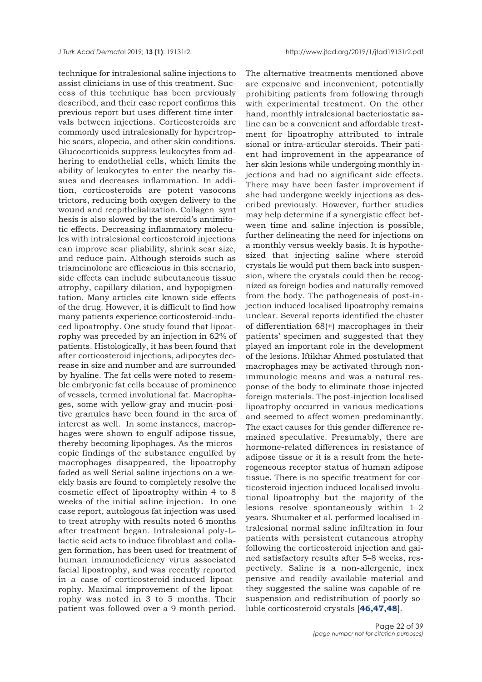technique for intralesional saline injections to assist clinicians in use of this treatment. Success of this technique has been previously described, and their case report confirms this previous report but uses different time intervals between injections. Corticosteroids are commonly used intralesionally for hypertrophic scars, alopecia, and other skin conditions. Glucocorticoids suppress leukocytes from adhering to endothelial cells, which limits the ability of leukocytes to enter the nearby tissues and decreases inflammation. In addition, corticosteroids are potent vasocons trictors, reducing both oxygen delivery to the wound and reepithelialization. Collagen synt hesis is also slowed by the steroid's antimitotic effects. Decreasing inflammatory molecules with intralesional corticosteroid injections can improve scar pliability, shrink scar size, and reduce pain. Although steroids such as triamcinolone are efficacious in this scenario, side effects can include subcutaneous tissue atrophy, capillary dilation, and hypopigmentation. Many articles cite known side effects of the drug. However, it is difficult to find how many patients experience corticosteroid-induced lipoatrophy. One study found that lipoatrophy was preceded by an injection in 62% of patients. Histologically, it has been found that after corticosteroid injections, adipocytes decrease in size and number and are surrounded by hyaline. The fat cells were noted to resemble embryonic fat cells because of prominence of vessels, termed involutional fat. Macrophages, some with yellow-gray and mucin-positive granules have been found in the area of interest as well. In some instances, macrophages were shown to engulf adipose tissue, thereby becoming lipophages. As the microscopic findings of the substance engulfed by macrophages disappeared, the lipoatrophy faded as well Serial saline injections on a weekly basis are found to completely resolve the cosmetic effect of lipoatrophy within 4 to 8 weeks of the initial saline injection. In one case report, autologous fat injection was used to treat atrophy with results noted 6 months after treatment began. Intralesional poly-Llactic acid acts to induce fibroblast and collagen formation, has been used for treatment of human immunodeficiency virus associated facial lipoatrophy, and was recently reported in a case of corticosteroid-induced lipoatrophy. Maximal improvement of the lipoatrophy was noted in 3 to 5 months. Their patient was followed over a 9-month period.

The alternative treatments mentioned above are expensive and inconvenient, potentially prohibiting patients from following through with experimental treatment. On the other hand, monthly intralesional bacteriostatic saline can be a convenient and affordable treatment for lipoatrophy attributed to intrale sional or intra-articular steroids. Their patient had improvement in the appearance of her skin lesions while undergoing monthly injections and had no significant side effects. There may have been faster improvement if she had undergone weekly injections as described previously. However, further studies may help determine if a synergistic effect between time and saline injection is possible, further delineating the need for injections on a monthly versus weekly basis. It is hypothesized that injecting saline where steroid crystals lie would put them back into suspension, where the crystals could then be recognized as foreign bodies and naturally removed from the body. The pathogenesis of post-injection induced localised lipoatrophy remains unclear. Several reports identified the cluster of differentiation 68(+) macrophages in their patients' specimen and suggested that they played an important role in the development of the lesions. Iftikhar Ahmed postulated that macrophages may be activated through nonimmunologic means and was a natural response of the body to eliminate those injected foreign materials. The post-injection localised lipoatrophy occurred in various medications and seemed to affect women predominantly. The exact causes for this gender difference remained speculative. Presumably, there are hormone-related differences in resistance of adipose tissue or it is a result from the heterogeneous receptor status of human adipose tissue. There is no specific treatment for corticosteroid injection induced localised involutional lipoatrophy but the majority of the lesions resolve spontaneously within 1–2 years. Shumaker et al. performed localised intralesional normal saline infiltration in four patients with persistent cutaneous atrophy following the corticosteroid injection and gained satisfactory results after 5–8 weeks, respectively. Saline is a non-allergenic, inex pensive and readily available material and they suggested the saline was capable of resuspension and redistribution of poorly soluble corticosteroid crystals [**[46,47,48](#page-37-0)**].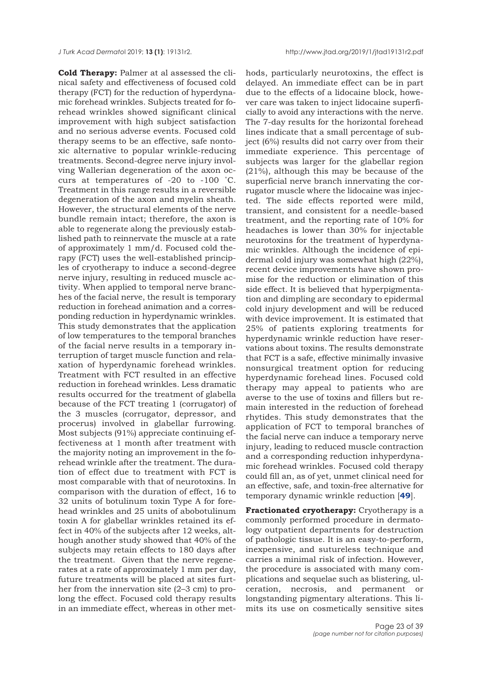**Cold Therapy:** Palmer at al assessed the clinical safety and effectiveness of focused cold therapy (FCT) for the reduction of hyperdynamic forehead wrinkles. Subjects treated for forehead wrinkles showed significant clinical improvement with high subject satisfaction and no serious adverse events. Focused cold therapy seems to be an effective, safe nontoxic alternative to popular wrinkle-reducing treatments. Second-degree nerve injury involving Wallerian degeneration of the axon occurs at temperatures of -20 to -100 ˚C. Treatment in this range results in a reversible degeneration of the axon and myelin sheath. However, the structural elements of the nerve bundle remain intact; therefore, the axon is able to regenerate along the previously established path to reinnervate the muscle at a rate of approximately 1 mm/d. Focused cold therapy (FCT) uses the well-established principles of cryotherapy to induce a second-degree nerve injury, resulting in reduced muscle activity. When applied to temporal nerve branches of the facial nerve, the result is temporary reduction in forehead animation and a corresponding reduction in hyperdynamic wrinkles. This study demonstrates that the application of low temperatures to the temporal branches of the facial nerve results in a temporary interruption of target muscle function and relaxation of hyperdynamic forehead wrinkles. Treatment with FCT resulted in an effective reduction in forehead wrinkles. Less dramatic results occurred for the treatment of glabella because of the FCT treating 1 (corrugator) of the 3 muscles (corrugator, depressor, and procerus) involved in glabellar furrowing. Most subjects (91%) appreciate continuing effectiveness at 1 month after treatment with the majority noting an improvement in the forehead wrinkle after the treatment. The duration of effect due to treatment with FCT is most comparable with that of neurotoxins. In comparison with the duration of effect, 16 to 32 units of botulinum toxin Type A for forehead wrinkles and 25 units of abobotulinum toxin A for glabellar wrinkles retained its effect in 40% of the subjects after 12 weeks, although another study showed that 40% of the subjects may retain effects to 180 days after the treatment. Given that the nerve regenerates at a rate of approximately 1 mm per day, future treatments will be placed at sites further from the innervation site (2–3 cm) to prolong the effect. Focused cold therapy results in an immediate effect, whereas in other met-

hods, particularly neurotoxins, the effect is delayed. An immediate effect can be in part due to the effects of a lidocaine block, however care was taken to inject lidocaine superficially to avoid any interactions with the nerve. The 7-day results for the horizontal forehead lines indicate that a small percentage of subject (6%) results did not carry over from their immediate experience. This percentage of subjects was larger for the glabellar region (21%), although this may be because of the superficial nerve branch innervating the corrugator muscle where the lidocaine was injected. The side effects reported were mild, transient, and consistent for a needle-based treatment, and the reporting rate of 10% for headaches is lower than 30% for injectable neurotoxins for the treatment of hyperdynamic wrinkles. Although the incidence of epidermal cold injury was somewhat high (22%), recent device improvements have shown promise for the reduction or elimination of this side effect. It is believed that hyperpigmentation and dimpling are secondary to epidermal cold injury development and will be reduced with device improvement. It is estimated that 25% of patients exploring treatments for hyperdynamic wrinkle reduction have reservations about toxins. The results demonstrate that FCT is a safe, effective minimally invasive nonsurgical treatment option for reducing hyperdynamic forehead lines. Focused cold therapy may appeal to patients who are averse to the use of toxins and fillers but remain interested in the reduction of forehead rhytides. This study demonstrates that the application of FCT to temporal branches of the facial nerve can induce a temporary nerve injury, leading to reduced muscle contraction and a corresponding reduction inhyperdynamic forehead wrinkles. Focused cold therapy could fill an, as of yet, unmet clinical need for an effective, safe, and toxin-free alternative for temporary dynamic wrinkle reduction [**[49](#page-37-0)**].

**Fractionated cryotherapy:** Cryotherapy is a commonly performed procedure in dermatology outpatient departments for destruction of pathologic tissue. It is an easy-to-perform, inexpensive, and sutureless technique and carries a minimal risk of infection. However, the procedure is associated with many complications and sequelae such as blistering, ulceration, necrosis, and permanent or longstanding pigmentary alterations. This limits its use on cosmetically sensitive sites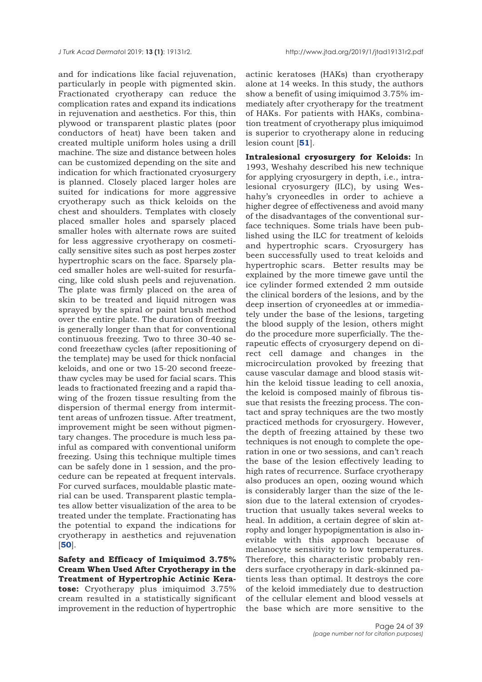and for indications like facial rejuvenation, particularly in people with pigmented skin. Fractionated cryotherapy can reduce the complication rates and expand its indications in rejuvenation and aesthetics. For this, thin plywood or transparent plastic plates (poor conductors of heat) have been taken and created multiple uniform holes using a drill machine. The size and distance between holes can be customized depending on the site and indication for which fractionated cryosurgery is planned. Closely placed larger holes are suited for indications for more aggressive cryotherapy such as thick keloids on the chest and shoulders. Templates with closely placed smaller holes and sparsely placed smaller holes with alternate rows are suited for less aggressive cryotherapy on cosmetically sensitive sites such as post herpes zoster hypertrophic scars on the face. Sparsely placed smaller holes are well-suited for resurfacing, like cold slush peels and rejuvenation. The plate was firmly placed on the area of skin to be treated and liquid nitrogen was sprayed by the spiral or paint brush method over the entire plate. The duration of freezing is generally longer than that for conventional continuous freezing. Two to three 30-40 second freezethaw cycles (after repositioning of the template) may be used for thick nonfacial keloids, and one or two 15-20 second freezethaw cycles may be used for facial scars. This leads to fractionated freezing and a rapid thawing of the frozen tissue resulting from the dispersion of thermal energy from intermittent areas of unfrozen tissue. After treatment, improvement might be seen without pigmentary changes. The procedure is much less painful as compared with conventional uniform freezing. Using this technique multiple times can be safely done in 1 session, and the procedure can be repeated at frequent intervals. For curved surfaces, mouldable plastic material can be used. Transparent plastic templates allow better visualization of the area to be treated under the template. Fractionating has the potential to expand the indications for cryotherapy in aesthetics and rejuvenation [**[50](#page-37-0)**].

**Safety and Efficacy of Imiquimod 3.75% Cream When Used After Cryotherapy in the Treatment of Hypertrophic Actinic Keratose:** Cryotherapy plus imiquimod 3.75% cream resulted in a statistically significant improvement in the reduction of hypertrophic actinic keratoses (HAKs) than cryotherapy alone at 14 weeks. In this study, the authors show a benefit of using imiquimod 3.75% immediately after cryotherapy for the treatment of HAKs. For patients with HAKs, combination treatment of cryotherapy plus imiquimod is superior to cryotherapy alone in reducing lesion count [**[51](#page-37-0)**].

**Intralesional cryosurgery for Keloids:** In 1993, Weshahy described his new technique for applying cryosurgery in depth, i.e., intralesional cryosurgery (ILC), by using Weshahy's cryoneedles in order to achieve a higher degree of effectiveness and avoid many of the disadvantages of the conventional surface techniques. Some trials have been published using the ILC for treatment of keloids and hypertrophic scars. Cryosurgery has been successfully used to treat keloids and hypertrophic scars. Better results may be explained by the more timewe gave until the ice cylinder formed extended 2 mm outside the clinical borders of the lesions, and by the deep insertion of cryoneedles at or immediately under the base of the lesions, targeting the blood supply of the lesion, others might do the procedure more superficially. The therapeutic effects of cryosurgery depend on direct cell damage and changes in the microcirculation provoked by freezing that cause vascular damage and blood stasis within the keloid tissue leading to cell anoxia, the keloid is composed mainly of fibrous tissue that resists the freezing process. The contact and spray techniques are the two mostly practiced methods for cryosurgery. However, the depth of freezing attained by these two techniques is not enough to complete the operation in one or two sessions, and can't reach the base of the lesion effectively leading to high rates of recurrence. Surface cryotherapy also produces an open, oozing wound which is considerably larger than the size of the lesion due to the lateral extension of cryodestruction that usually takes several weeks to heal. In addition, a certain degree of skin atrophy and longer hypopigmentation is also inevitable with this approach because of melanocyte sensitivity to low temperatures. Therefore, this characteristic probably renders surface cryotherapy in dark-skinned patients less than optimal. It destroys the core of the keloid immediately due to destruction of the cellular element and blood vessels at the base which are more sensitive to the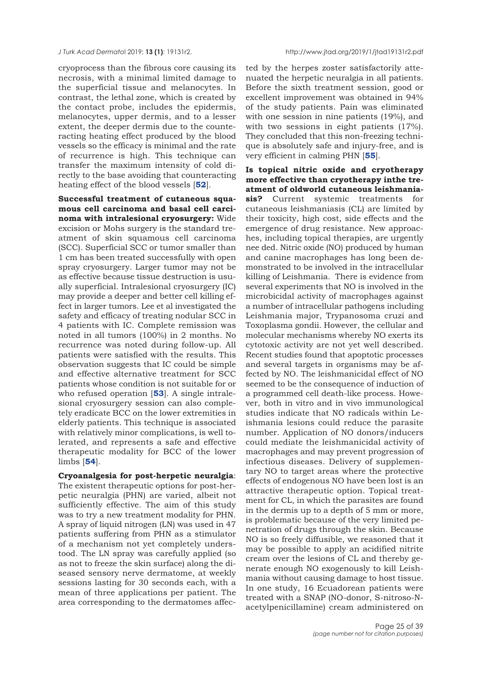cryoprocess than the fibrous core causing its necrosis, with a minimal limited damage to the superficial tissue and melanocytes. In contrast, the lethal zone, which is created by the contact probe, includes the epidermis, melanocytes, upper dermis, and to a lesser extent, the deeper dermis due to the counteracting heating effect produced by the blood vessels so the efficacy is minimal and the rate of recurrence is high. This technique can transfer the maximum intensity of cold directly to the base avoiding that counteracting heating effect of the blood vessels [**[52](#page-37-0)**].

**Successful treatment of cutaneous squamous cell carcinoma and basal cell carcinoma with intralesional cryosurgery:** Wide excision or Mohs surgery is the standard treatment of skin squamous cell carcinoma (SCC). Superficial SCC or tumor smaller than 1 cm has been treated successfully with open spray cryosurgery. Larger tumor may not be as effective because tissue destruction is usually superficial. Intralesional cryosurgery (IC) may provide a deeper and better cell killing effect in larger tumors. Lee et al investigated the safety and efficacy of treating nodular SCC in 4 patients with IC. Complete remission was noted in all tumors (100%) in 2 months. No recurrence was noted during follow-up. All patients were satisfied with the results. This observation suggests that IC could be simple and effective alternative treatment for SCC patients whose condition is not suitable for or who refused operation [**[53](#page-38-0)**]. A single intralesional cryosurgery session can also completely eradicate BCC on the lower extremities in elderly patients. This technique is associated with relatively minor complications, is well tolerated, and represents a safe and effective therapeutic modality for BCC of the lower limbs [**[54](#page-38-0)**].

#### **Cryoanalgesia for post-herpetic neuralgia**:

The existent therapeutic options for post-herpetic neuralgia (PHN) are varied, albeit not sufficiently effective. The aim of this study was to try a new treatment modality for PHN. A spray of liquid nitrogen (LN) was used in 47 patients suffering from PHN as a stimulator of a mechanism not yet completely understood. The LN spray was carefully applied (so as not to freeze the skin surface) along the diseased sensory nerve dermatome, at weekly sessions lasting for 30 seconds each, with a mean of three applications per patient. The area corresponding to the dermatomes affected by the herpes zoster satisfactorily attenuated the herpetic neuralgia in all patients. Before the sixth treatment session, good or excellent improvement was obtained in 94% of the study patients. Pain was eliminated with one session in nine patients (19%), and with two sessions in eight patients (17%). They concluded that this non-freezing technique is absolutely safe and injury-free, and is very efficient in calming PHN [**[55](#page-38-0)**].

**Is topical nitric oxide and cryotherapy more effective than cryotherapy inthe treatment of oldworld cutaneous leishmaniasis?** Current systemic treatments for cutaneous leishmaniasis (CL) are limited by their toxicity, high cost, side effects and the emergence of drug resistance. New approaches, including topical therapies, are urgently nee ded. Nitric oxide (NO) produced by human and canine macrophages has long been demonstrated to be involved in the intracellular killing of Leishmania. There is evidence from several experiments that NO is involved in the microbicidal activity of macrophages against a number of intracellular pathogens including Leishmania major, Trypanosoma cruzi and Toxoplasma gondii. However, the cellular and molecular mechanisms whereby NO exerts its cytotoxic activity are not yet well described. Recent studies found that apoptotic processes and several targets in organisms may be affected by NO. The leishmanicidal effect of NO seemed to be the consequence of induction of a programmed cell death-like process. However, both in vitro and in vivo immunological studies indicate that NO radicals within Leishmania lesions could reduce the parasite number. Application of NO donors/inducers could mediate the leishmanicidal activity of macrophages and may prevent progression of infectious diseases. Delivery of supplementary NO to target areas where the protective effects of endogenous NO have been lost is an attractive therapeutic option. Topical treatment for CL, in which the parasites are found in the dermis up to a depth of 5 mm or more, is problematic because of the very limited penetration of drugs through the skin. Because NO is so freely diffusible, we reasoned that it may be possible to apply an acidified nitrite cream over the lesions of CL and thereby generate enough NO exogenously to kill Leishmania without causing damage to host tissue. In one study, 16 Ecuadorean patients were treated with a SNAP (NO-donor, S-nitroso-Nacetylpenicillamine) cream administered on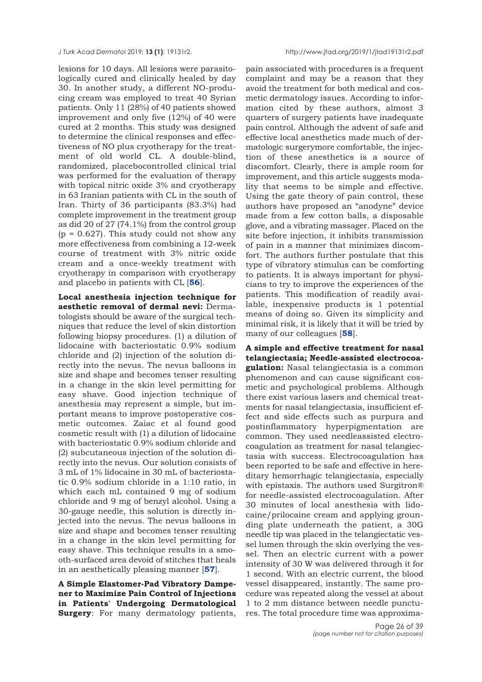lesions for 10 days. All lesions were parasitologically cured and clinically healed by day 30. In another study, a different NO-producing cream was employed to treat 40 Syrian patients. Only 11 (28%) of 40 patients showed improvement and only five (12%) of 40 were cured at 2 months. This study was designed to determine the clinical responses and effectiveness of NO plus cryotherapy for the treatment of old world CL. A double-blind, randomized, placebocontrolled clinical trial was performed for the evaluation of therapy with topical nitric oxide 3% and cryotherapy in 63 Iranian patients with CL in the south of Iran. Thirty of 36 participants (83.3%) had complete improvement in the treatment group as did 20 of 27 (74.1%) from the control group  $(p = 0.627)$ . This study could not show any more effectiveness from combining a 12-week course of treatment with 3% nitric oxide cream and a once-weekly treatment with cryotherapy in comparison with cryotherapy and placebo in patients with CL [**[56](#page-38-0)**].

**Local anesthesia injection technique for aesthetic removal of dermal nevi:** Dermatologists should be aware of the surgical techniques that reduce the level of skin distortion following biopsy procedures. (1) a dilution of lidocaine with bacteriostatic 0.9% sodium chloride and (2) injection of the solution directly into the nevus. The nevus balloons in size and shape and becomes tenser resulting in a change in the skin level permitting for easy shave. Good injection technique of anesthesia may represent a simple, but important means to improve postoperative cosmetic outcomes. Zaiac et al found good cosmetic result with (1) a dilution of lidocaine with bacteriostatic 0.9% sodium chloride and (2) subcutaneous injection of the solution directly into the nevus. Our solution consists of 3 mL of 1% lidocaine in 30 mL of bacteriostatic 0.9% sodium chloride in a 1:10 ratio, in which each mL contained 9 mg of sodium chloride and 9 mg of benzyl alcohol. Using a 30-gauge needle, this solution is directly injected into the nevus. The nevus balloons in size and shape and becomes tenser resulting in a change in the skin level permitting for easy shave. This technique results in a smooth-surfaced area devoid of stitches that heals in an aesthetically pleasing manner [**[57](#page-38-0)**].

**A Simple Elastomer-Pad Vibratory Dampener to Maximize Pain Control of Injections in Patients' Undergoing Dermatological Surgery**: For many dermatology patients, pain associated with procedures is a frequent complaint and may be a reason that they avoid the treatment for both medical and cosmetic dermatology issues. According to information cited by these authors, almost 3 quarters of surgery patients have inadequate pain control. Although the advent of safe and effective local anesthetics made much of dermatologic surgerymore comfortable, the injection of these anesthetics is a source of discomfort. Clearly, there is ample room for improvement, and this article suggests modality that seems to be simple and effective. Using the gate theory of pain control, these authors have proposed an "anodyne" device made from a few cotton balls, a disposable glove, and a vibrating massager. Placed on the site before injection, it inhibits transmission of pain in a manner that minimizes discomfort. The authors further postulate that this type of vibratory stimulus can be comforting to patients. It is always important for physicians to try to improve the experiences of the patients. This modification of readily available, inexpensive products is 1 potential means of doing so. Given its simplicity and minimal risk, it is likely that it will be tried by many of our colleagues [**[58](#page-38-0)**].

**A simple and effective treatment for nasal telangiectasia; Needle-assisted electrocoagulation:** Nasal telangiectasia is a common phenomenon and can cause significant cosmetic and psychological problems. Although there exist various lasers and chemical treatments for nasal telangiectasia, insufficient effect and side effects such as purpura and postinflammatory hyperpigmentation are common. They used needleassisted electrocoagulation as treatment for nasal telangiectasia with success. Electrocoagulation has been reported to be safe and effective in hereditary hemorrhagic telangiectasia, especially with epistaxis. The authors used Surgitron® for needle-assisted electrocoagulation. After 30 minutes of local anesthesia with lidocaine/prilocaine cream and applying grounding plate underneath the patient, a 30G needle tip was placed in the telangiectatic vessel lumen through the skin overlying the vessel. Then an electric current with a power intensity of 30 W was delivered through it for 1 second. With an electric current, the blood vessel disappeared, instantly. The same procedure was repeated along the vessel at about 1 to 2 mm distance between needle punctures. The total procedure time was approxima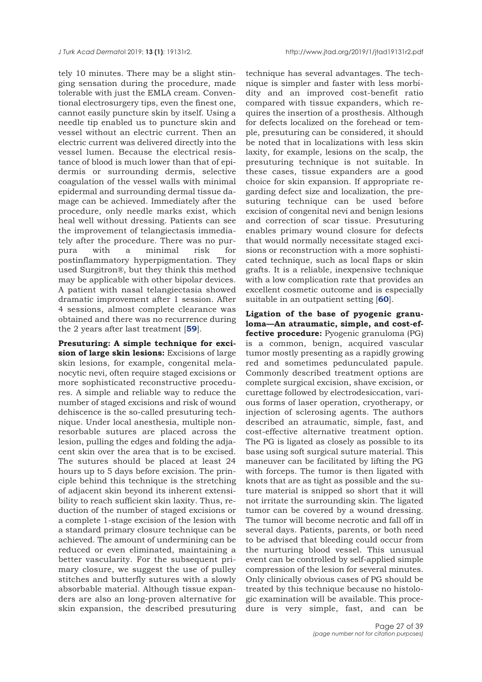tely 10 minutes. There may be a slight stinging sensation during the procedure, made tolerable with just the EMLA cream. Conventional electrosurgery tips, even the finest one, cannot easily puncture skin by itself. Using a needle tip enabled us to puncture skin and vessel without an electric current. Then an electric current was delivered directly into the vessel lumen. Because the electrical resistance of blood is much lower than that of epidermis or surrounding dermis, selective coagulation of the vessel walls with minimal epidermal and surrounding dermal tissue damage can be achieved. Immediately after the procedure, only needle marks exist, which heal well without dressing. Patients can see the improvement of telangiectasis immediately after the procedure. There was no purpura with a minimal risk for postinflammatory hyperpigmentation. They used Surgitron®, but they think this method may be applicable with other bipolar devices. A patient with nasal telangiectasia showed dramatic improvement after 1 session. After 4 sessions, almost complete clearance was obtained and there was no recurrence during the 2 years after last treatment [**[59](#page-38-0)**].

**Presuturing: A simple technique for excision of large skin lesions:** Excisions of large skin lesions, for example, congenital melanocytic nevi, often require staged excisions or more sophisticated reconstructive procedures. A simple and reliable way to reduce the number of staged excisions and risk of wound dehiscence is the so-called presuturing technique. Under local anesthesia, multiple nonresorbable sutures are placed across the lesion, pulling the edges and folding the adjacent skin over the area that is to be excised. The sutures should be placed at least 24 hours up to 5 days before excision. The principle behind this technique is the stretching of adjacent skin beyond its inherent extensibility to reach sufficient skin laxity. Thus, reduction of the number of staged excisions or a complete 1-stage excision of the lesion with a standard primary closure technique can be achieved. The amount of undermining can be reduced or even eliminated, maintaining a better vascularity. For the subsequent primary closure, we suggest the use of pulley stitches and butterfly sutures with a slowly absorbable material. Although tissue expanders are also an long-proven alternative for skin expansion, the described presuturing technique has several advantages. The technique is simpler and faster with less morbidity and an improved cost-benefit ratio compared with tissue expanders, which requires the insertion of a prosthesis. Although for defects localized on the forehead or temple, presuturing can be considered, it should be noted that in localizations with less skin laxity, for example, lesions on the scalp, the presuturing technique is not suitable. In these cases, tissue expanders are a good choice for skin expansion. If appropriate regarding defect size and localization, the presuturing technique can be used before excision of congenital nevi and benign lesions and correction of scar tissue. Presuturing enables primary wound closure for defects that would normally necessitate staged excisions or reconstruction with a more sophisticated technique, such as local flaps or skin grafts. It is a reliable, inexpensive technique with a low complication rate that provides an excellent cosmetic outcome and is especially suitable in an outpatient setting [**[60](#page-38-0)**].

**Ligation of the base of pyogenic granuloma—An atraumatic, simple, and cost-effective procedure:** Pyogenic granuloma (PG) is a common, benign, acquired vascular tumor mostly presenting as a rapidly growing red and sometimes pedunculated papule. Commonly described treatment options are complete surgical excision, shave excision, or curettage followed by electrodesiccation, various forms of laser operation, cryotherapy, or injection of sclerosing agents. The authors described an atraumatic, simple, fast, and cost-effective alternative treatment option. The PG is ligated as closely as possible to its base using soft surgical suture material. This maneuver can be facilitated by lifting the PG with forceps. The tumor is then ligated with knots that are as tight as possible and the suture material is snipped so short that it will not irritate the surrounding skin. The ligated tumor can be covered by a wound dressing. The tumor will become necrotic and fall off in several days. Patients, parents, or both need to be advised that bleeding could occur from the nurturing blood vessel. This unusual event can be controlled by self-applied simple compression of the lesion for several minutes. Only clinically obvious cases of PG should be treated by this technique because no histologic examination will be available. This procedure is very simple, fast, and can be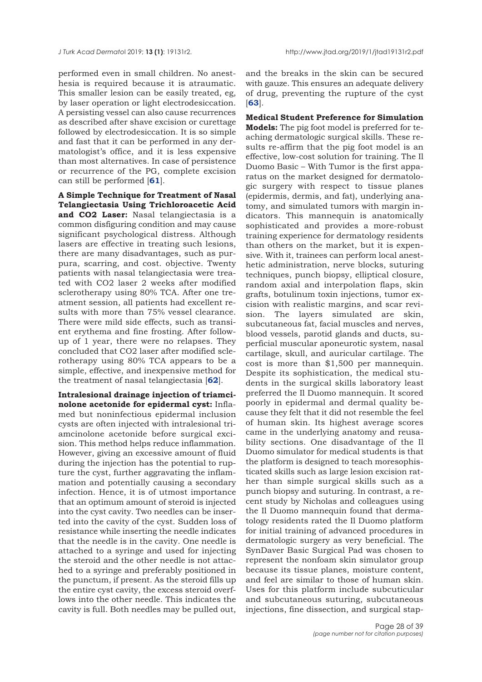performed even in small children. No anesthesia is required because it is atraumatic. This smaller lesion can be easily treated, eg, by laser operation or light electrodesiccation. A persisting vessel can also cause recurrences as described after shave excision or curettage followed by electrodesiccation. It is so simple and fast that it can be performed in any dermatologist's office, and it is less expensive than most alternatives. In case of persistence or recurrence of the PG, complete excision can still be performed [**[61](#page-38-0)**].

**A Simple Technique for Treatment of Nasal Telangiectasia Using Trichloroacetic Acid and CO2 Laser:** Nasal telangiectasia is a common disfiguring condition and may cause significant psychological distress. Although lasers are effective in treating such lesions, there are many disadvantages, such as purpura, scarring, and cost. objective. Twenty patients with nasal telangiectasia were treated with CO2 laser 2 weeks after modified sclerotherapy using 80% TCA. After one treatment session, all patients had excellent results with more than 75% vessel clearance. There were mild side effects, such as transient erythema and fine frosting. After followup of 1 year, there were no relapses. They concluded that CO2 laser after modified sclerotherapy using 80% TCA appears to be a simple, effective, and inexpensive method for the treatment of nasal telangiectasia [**[62](#page-38-0)**].

**Intralesional drainage injection of triamcinolone acetonide for epidermal cyst:** Inflamed but noninfectious epidermal inclusion cysts are often injected with intralesional triamcinolone acetonide before surgical excision. This method helps reduce inflammation. However, giving an excessive amount of fluid during the injection has the potential to rupture the cyst, further aggravating the inflammation and potentially causing a secondary infection. Hence, it is of utmost importance that an optimum amount of steroid is injected into the cyst cavity. Two needles can be inserted into the cavity of the cyst. Sudden loss of resistance while inserting the needle indicates that the needle is in the cavity. One needle is attached to a syringe and used for injecting the steroid and the other needle is not attached to a syringe and preferably positioned in the punctum, if present. As the steroid fills up the entire cyst cavity, the excess steroid overflows into the other needle. This indicates the cavity is full. Both needles may be pulled out,

and the breaks in the skin can be secured with gauze. This ensures an adequate delivery of drug, preventing the rupture of the cyst [**[63](#page-38-0)**].

**Medical Student Preference for Simulation Models:** The pig foot model is preferred for teaching dermatologic surgical skills. These results re-affirm that the pig foot model is an effective, low-cost solution for training. The Il Duomo Basic – With Tumor is the first apparatus on the market designed for dermatologic surgery with respect to tissue planes (epidermis, dermis, and fat), underlying anatomy, and simulated tumors with margin indicators. This mannequin is anatomically sophisticated and provides a more-robust training experience for dermatology residents than others on the market, but it is expensive. With it, trainees can perform local anesthetic administration, nerve blocks, suturing techniques, punch biopsy, elliptical closure, random axial and interpolation flaps, skin grafts, botulinum toxin injections, tumor excision with realistic margins, and scar revision. The layers simulated are skin, subcutaneous fat, facial muscles and nerves, blood vessels, parotid glands and ducts, superficial muscular aponeurotic system, nasal cartilage, skull, and auricular cartilage. The cost is more than \$1,500 per mannequin. Despite its sophistication, the medical students in the surgical skills laboratory least preferred the Il Duomo mannequin. It scored poorly in epidermal and dermal quality because they felt that it did not resemble the feel of human skin. Its highest average scores came in the underlying anatomy and reusability sections. One disadvantage of the Il Duomo simulator for medical students is that the platform is designed to teach moresophisticated skills such as large lesion excision rather than simple surgical skills such as a punch biopsy and suturing. In contrast, a recent study by Nicholas and colleagues using the Il Duomo mannequin found that dermatology residents rated the Il Duomo platform for initial training of advanced procedures in dermatologic surgery as very beneficial. The SynDaver Basic Surgical Pad was chosen to represent the nonfoam skin simulator group because its tissue planes, moisture content, and feel are similar to those of human skin. Uses for this platform include subcuticular and subcutaneous suturing, subcutaneous injections, fine dissection, and surgical stap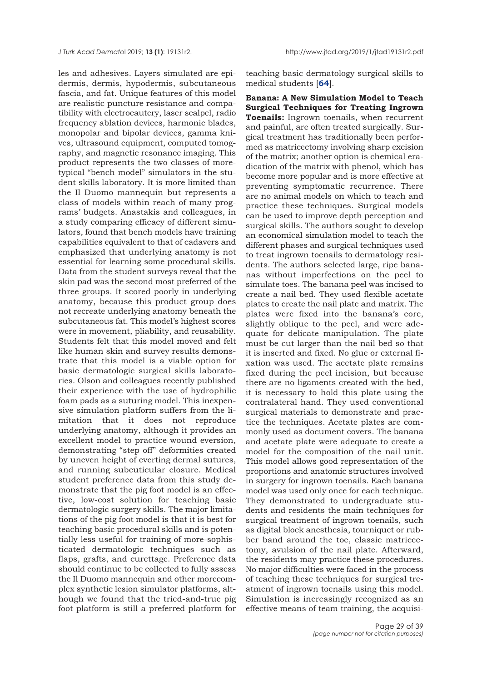les and adhesives. Layers simulated are epidermis, dermis, hypodermis, subcutaneous fascia, and fat. Unique features of this model are realistic puncture resistance and compatibility with electrocautery, laser scalpel, radio frequency ablation devices, harmonic blades, monopolar and bipolar devices, gamma knives, ultrasound equipment, computed tomography, and magnetic resonance imaging. This product represents the two classes of moretypical "bench model" simulators in the student skills laboratory. It is more limited than the Il Duomo mannequin but represents a class of models within reach of many programs' budgets. Anastakis and colleagues, in a study comparing efficacy of different simulators, found that bench models have training capabilities equivalent to that of cadavers and emphasized that underlying anatomy is not essential for learning some procedural skills. Data from the student surveys reveal that the skin pad was the second most preferred of the three groups. It scored poorly in underlying anatomy, because this product group does not recreate underlying anatomy beneath the subcutaneous fat. This model's highest scores were in movement, pliability, and reusability. Students felt that this model moved and felt like human skin and survey results demonstrate that this model is a viable option for basic dermatologic surgical skills laboratories. Olson and colleagues recently published their experience with the use of hydrophilic foam pads as a suturing model. This inexpensive simulation platform suffers from the limitation that it does not reproduce underlying anatomy, although it provides an excellent model to practice wound eversion, demonstrating "step off" deformities created by uneven height of everting dermal sutures, and running subcuticular closure. Medical student preference data from this study demonstrate that the pig foot model is an effective, low-cost solution for teaching basic dermatologic surgery skills. The major limitations of the pig foot model is that it is best for teaching basic procedural skills and is potentially less useful for training of more-sophisticated dermatologic techniques such as flaps, grafts, and curettage. Preference data should continue to be collected to fully assess the Il Duomo mannequin and other morecomplex synthetic lesion simulator platforms, although we found that the tried-and-true pig foot platform is still a preferred platform for

teaching basic dermatology surgical skills to medical students [**[64](#page-38-0)**].

**Banana: A New Simulation Model to Teach Surgical Techniques for Treating Ingrown Toenails:** Ingrown toenails, when recurrent and painful, are often treated surgically. Surgical treatment has traditionally been performed as matricectomy involving sharp excision of the matrix; another option is chemical eradication of the matrix with phenol, which has become more popular and is more effective at preventing symptomatic recurrence. There are no animal models on which to teach and practice these techniques. Surgical models can be used to improve depth perception and surgical skills. The authors sought to develop an economical simulation model to teach the different phases and surgical techniques used to treat ingrown toenails to dermatology residents. The authors selected large, ripe bananas without imperfections on the peel to simulate toes. The banana peel was incised to create a nail bed. They used flexible acetate plates to create the nail plate and matrix. The plates were fixed into the banana's core, slightly oblique to the peel, and were adequate for delicate manipulation. The plate must be cut larger than the nail bed so that it is inserted and fixed. No glue or external fixation was used. The acetate plate remains fixed during the peel incision, but because there are no ligaments created with the bed, it is necessary to hold this plate using the contralateral hand. They used conventional surgical materials to demonstrate and practice the techniques. Acetate plates are commonly used as document covers. The banana and acetate plate were adequate to create a model for the composition of the nail unit. This model allows good representation of the proportions and anatomic structures involved in surgery for ingrown toenails. Each banana model was used only once for each technique. They demonstrated to undergraduate students and residents the main techniques for surgical treatment of ingrown toenails, such as digital block anesthesia, tourniquet or rubber band around the toe, classic matricectomy, avulsion of the nail plate. Afterward, the residents may practice these procedures. No major difficulties were faced in the process of teaching these techniques for surgical treatment of ingrown toenails using this model. Simulation is increasingly recognized as an effective means of team training, the acquisi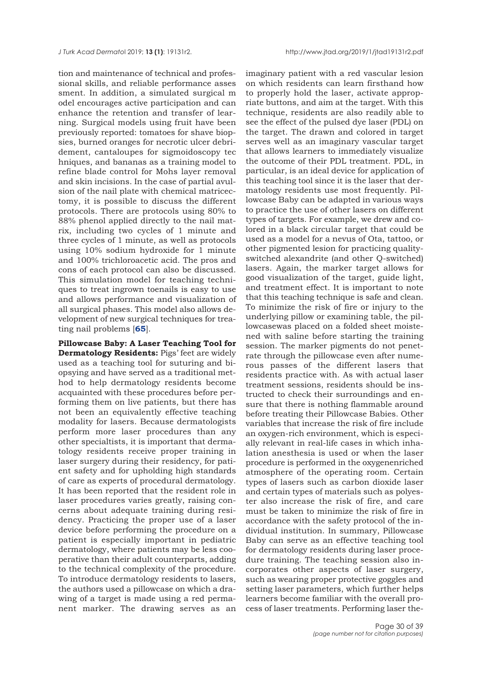tion and maintenance of technical and professional skills, and reliable performance asses sment. In addition, a simulated surgical m odel encourages active participation and can enhance the retention and transfer of learning. Surgical models using fruit have been previously reported: tomatoes for shave biopsies, burned oranges for necrotic ulcer debridement, cantaloupes for sigmoidoscopy tec hniques, and bananas as a training model to refine blade control for Mohs layer removal and skin incisions. In the case of partial avulsion of the nail plate with chemical matricectomy, it is possible to discuss the different protocols. There are protocols using 80% to 88% phenol applied directly to the nail matrix, including two cycles of 1 minute and three cycles of 1 minute, as well as protocols using 10% sodium hydroxide for 1 minute and 100% trichloroacetic acid. The pros and cons of each protocol can also be discussed. This simulation model for teaching techniques to treat ingrown toenails is easy to use and allows performance and visualization of all surgical phases. This model also allows development of new surgical techniques for treating nail problems [**[65](#page-38-0)**].

**Pillowcase Baby: A Laser Teaching Tool for Dermatology Residents:** Pigs' feet are widely used as a teaching tool for suturing and biopsying and have served as a traditional method to help dermatology residents become acquainted with these procedures before performing them on live patients, but there has not been an equivalently effective teaching modality for lasers. Because dermatologists perform more laser procedures than any other specialtists, it is important that dermatology residents receive proper training in laser surgery during their residency, for patient safety and for upholding high standards of care as experts of procedural dermatology. It has been reported that the resident role in laser procedures varies greatly, raising concerns about adequate training during residency. Practicing the proper use of a laser device before performing the procedure on a patient is especially important in pediatric dermatology, where patients may be less cooperative than their adult counterparts, adding to the technical complexity of the procedure. To introduce dermatology residents to lasers, the authors used a pillowcase on which a drawing of a target is made using a red permanent marker. The drawing serves as an

imaginary patient with a red vascular lesion on which residents can learn firsthand how to properly hold the laser, activate appropriate buttons, and aim at the target. With this technique, residents are also readily able to see the effect of the pulsed dye laser (PDL) on the target. The drawn and colored in target serves well as an imaginary vascular target that allows learners to immediately visualize the outcome of their PDL treatment. PDL, in particular, is an ideal device for application of this teaching tool since it is the laser that dermatology residents use most frequently. Pillowcase Baby can be adapted in various ways to practice the use of other lasers on different types of targets. For example, we drew and colored in a black circular target that could be used as a model for a nevus of Ota, tattoo, or other pigmented lesion for practicing qualityswitched alexandrite (and other Q-switched) lasers. Again, the marker target allows for good visualization of the target, guide light, and treatment effect. It is important to note that this teaching technique is safe and clean. To minimize the risk of fire or injury to the underlying pillow or examining table, the pillowcasewas placed on a folded sheet moistened with saline before starting the training session. The marker pigments do not penetrate through the pillowcase even after numerous passes of the different lasers that residents practice with. As with actual laser treatment sessions, residents should be instructed to check their surroundings and ensure that there is nothing flammable around before treating their Pillowcase Babies. Other variables that increase the risk of fire include an oxygen-rich environment, which is especially relevant in real-life cases in which inhalation anesthesia is used or when the laser procedure is performed in the oxygenenriched atmosphere of the operating room. Certain types of lasers such as carbon dioxide laser and certain types of materials such as polyester also increase the risk of fire, and care must be taken to minimize the risk of fire in accordance with the safety protocol of the individual institution. In summary, Pillowcase Baby can serve as an effective teaching tool for dermatology residents during laser procedure training. The teaching session also incorporates other aspects of laser surgery, such as wearing proper protective goggles and setting laser parameters, which further helps learners become familiar with the overall process of laser treatments. Performing laser the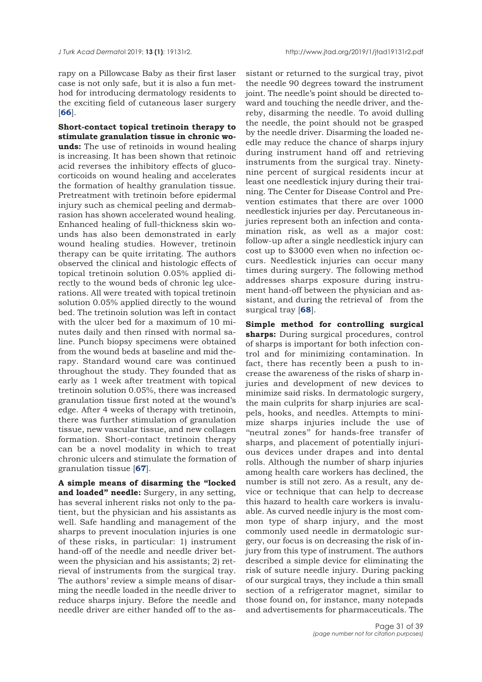rapy on a Pillowcase Baby as their first laser case is not only safe, but it is also a fun method for introducing dermatology residents to the exciting field of cutaneous laser surgery [**[66](#page-38-0)**].

**Short-contact topical tretinoin therapy to stimulate granulation tissue in chronic wounds:** The use of retinoids in wound healing is increasing. It has been shown that retinoic acid reverses the inhibitory effects of glucocorticoids on wound healing and accelerates the formation of healthy granulation tissue. Pretreatment with tretinoin before epidermal injury such as chemical peeling and dermabrasion has shown accelerated wound healing. Enhanced healing of full-thickness skin wounds has also been demonstrated in early wound healing studies. However, tretinoin therapy can be quite irritating. The authors observed the clinical and histologic effects of topical tretinoin solution 0.05% applied directly to the wound beds of chronic leg ulcerations. All were treated with topical tretinoin solution 0.05% applied directly to the wound bed. The tretinoin solution was left in contact with the ulcer bed for a maximum of 10 minutes daily and then rinsed with normal saline. Punch biopsy specimens were obtained from the wound beds at baseline and mid therapy. Standard wound care was continued throughout the study. They founded that as early as 1 week after treatment with topical tretinoin solution 0.05%, there was increased granulation tissue first noted at the wound's edge. After 4 weeks of therapy with tretinoin, there was further stimulation of granulation tissue, new vascular tissue, and new collagen formation. Short-contact tretinoin therapy can be a novel modality in which to treat chronic ulcers and stimulate the formation of granulation tissue [**[67](#page-38-0)**].

**A simple means of disarming the "locked and loaded" needle:** Surgery, in any setting, has several inherent risks not only to the patient, but the physician and his assistants as well. Safe handling and management of the sharps to prevent inoculation injuries is one of these risks, in particular: 1) instrument hand-off of the needle and needle driver between the physician and his assistants; 2) retrieval of instruments from the surgical tray. The authors' review a simple means of disarming the needle loaded in the needle driver to reduce sharps injury. Before the needle and needle driver are either handed off to the as-

sistant or returned to the surgical tray, pivot the needle 90 degrees toward the instrument joint. The needle's point should be directed toward and touching the needle driver, and thereby, disarming the needle. To avoid dulling the needle, the point should not be grasped by the needle driver. Disarming the loaded needle may reduce the chance of sharps injury during instrument hand off and retrieving instruments from the surgical tray. Ninetynine percent of surgical residents incur at least one needlestick injury during their training. The Center for Disease Control and Prevention estimates that there are over 1000 needlestick injuries per day. Percutaneous injuries represent both an infection and contamination risk, as well as a major cost: follow-up after a single needlestick injury can cost up to \$3000 even when no infection occurs. Needlestick injuries can occur many times during surgery. The following method addresses sharps exposure during instrument hand-off between the physician and assistant, and during the retrieval of from the surgical tray [**[68](#page-38-0)**].

**Simple method for controlling surgical sharps:** During surgical procedures, control of sharps is important for both infection control and for minimizing contamination. In fact, there has recently been a push to increase the awareness of the risks of sharp injuries and development of new devices to minimize said risks. In dermatologic surgery, the main culprits for sharp injuries are scalpels, hooks, and needles. Attempts to minimize sharps injuries include the use of "neutral zones" for hands-free transfer of sharps, and placement of potentially injurious devices under drapes and into dental rolls. Although the number of sharp injuries among health care workers has declined, the number is still not zero. As a result, any device or technique that can help to decrease this hazard to health care workers is invaluable. As curved needle injury is the most common type of sharp injury, and the most commonly used needle in dermatologic surgery, our focus is on decreasing the risk of injury from this type of instrument. The authors described a simple device for eliminating the risk of suture needle injury. During packing of our surgical trays, they include a thin small section of a refrigerator magnet, similar to those found on, for instance, many notepads and advertisements for pharmaceuticals. The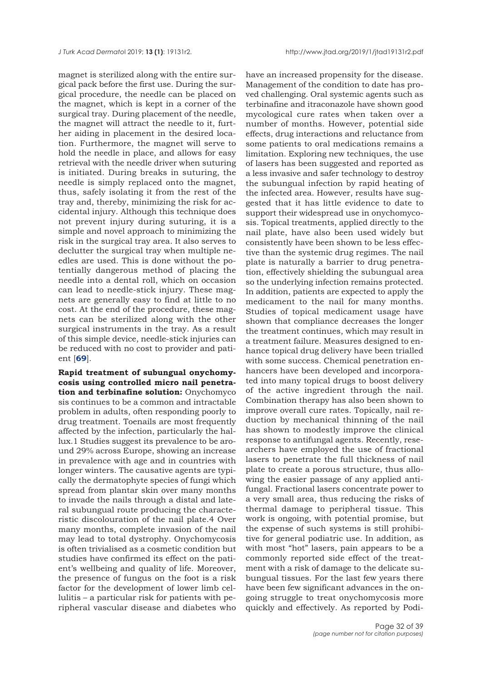magnet is sterilized along with the entire surgical pack before the first use. During the surgical procedure, the needle can be placed on the magnet, which is kept in a corner of the surgical tray. During placement of the needle, the magnet will attract the needle to it, further aiding in placement in the desired location. Furthermore, the magnet will serve to hold the needle in place, and allows for easy retrieval with the needle driver when suturing is initiated. During breaks in suturing, the needle is simply replaced onto the magnet, thus, safely isolating it from the rest of the tray and, thereby, minimizing the risk for accidental injury. Although this technique does not prevent injury during suturing, it is a simple and novel approach to minimizing the risk in the surgical tray area. It also serves to declutter the surgical tray when multiple needles are used. This is done without the potentially dangerous method of placing the needle into a dental roll, which on occasion can lead to needle-stick injury. These magnets are generally easy to find at little to no cost. At the end of the procedure, these magnets can be sterilized along with the other surgical instruments in the tray. As a result of this simple device, needle-stick injuries can be reduced with no cost to provider and patient [**[69](#page-38-0)**].

**Rapid treatment of subungual onychomycosis using controlled micro nail penetration and terbinafine solution:** Onychomyco sis continues to be a common and intractable problem in adults, often responding poorly to drug treatment. Toenails are most frequently affected by the infection, particularly the hallux.1 Studies suggest its prevalence to be around 29% across Europe, showing an increase in prevalence with age and in countries with longer winters. The causative agents are typically the dermatophyte species of fungi which spread from plantar skin over many months to invade the nails through a distal and lateral subungual route producing the characteristic discolouration of the nail plate.4 Over many months, complete invasion of the nail may lead to total dystrophy. Onychomycosis is often trivialised as a cosmetic condition but studies have confirmed its effect on the patient's wellbeing and quality of life. Moreover, the presence of fungus on the foot is a risk factor for the development of lower limb cellulitis – a particular risk for patients with peripheral vascular disease and diabetes who

have an increased propensity for the disease. Management of the condition to date has proved challenging. Oral systemic agents such as terbinafine and itraconazole have shown good mycological cure rates when taken over a number of months. However, potential side effects, drug interactions and reluctance from some patients to oral medications remains a limitation. Exploring new techniques, the use of lasers has been suggested and reported as a less invasive and safer technology to destroy the subungual infection by rapid heating of the infected area. However, results have suggested that it has little evidence to date to support their widespread use in onychomycosis. Topical treatments, applied directly to the nail plate, have also been used widely but consistently have been shown to be less effective than the systemic drug regimes. The nail plate is naturally a barrier to drug penetration, effectively shielding the subungual area so the underlying infection remains protected. In addition, patients are expected to apply the medicament to the nail for many months. Studies of topical medicament usage have shown that compliance decreases the longer the treatment continues, which may result in a treatment failure. Measures designed to enhance topical drug delivery have been trialled with some success. Chemical penetration enhancers have been developed and incorporated into many topical drugs to boost delivery of the active ingredient through the nail. Combination therapy has also been shown to improve overall cure rates. Topically, nail reduction by mechanical thinning of the nail has shown to modestly improve the clinical response to antifungal agents. Recently, researchers have employed the use of fractional lasers to penetrate the full thickness of nail plate to create a porous structure, thus allowing the easier passage of any applied antifungal. Fractional lasers concentrate power to a very small area, thus reducing the risks of thermal damage to peripheral tissue. This work is ongoing, with potential promise, but the expense of such systems is still prohibitive for general podiatric use. In addition, as with most "hot" lasers, pain appears to be a commonly reported side effect of the treatment with a risk of damage to the delicate subungual tissues. For the last few years there have been few significant advances in the ongoing struggle to treat onychomycosis more quickly and effectively. As reported by Podi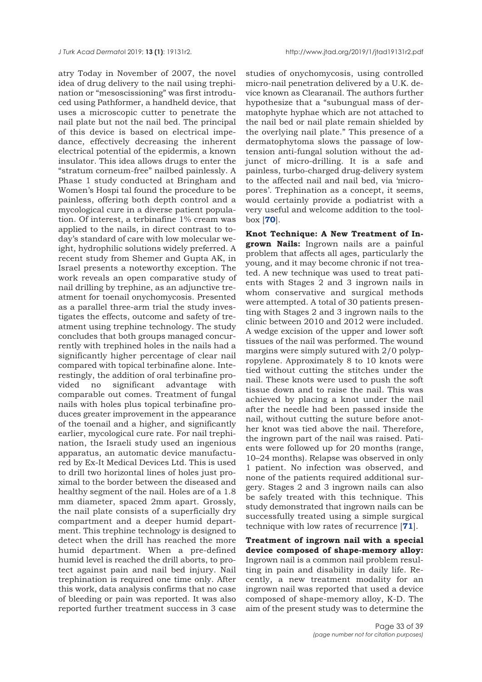atry Today in November of 2007, the novel idea of drug delivery to the nail using trephination or "mesoscissioning" was first introduced using Pathformer, a handheld device, that uses a microscopic cutter to penetrate the nail plate but not the nail bed. The principal of this device is based on electrical impedance, effectively decreasing the inherent electrical potential of the epidermis, a known insulator. This idea allows drugs to enter the "stratum corneum-free" nailbed painlessly. A Phase 1 study conducted at Bringham and Women's Hospi tal found the procedure to be painless, offering both depth control and a mycological cure in a diverse patient population. Of interest, a terbinafine 1% cream was applied to the nails, in direct contrast to today's standard of care with low molecular weight, hydrophilic solutions widely preferred. A recent study from Shemer and Gupta AK, in Israel presents a noteworthy exception. The work reveals an open comparative study of nail drilling by trephine, as an adjunctive treatment for toenail onychomycosis. Presented as a parallel three-arm trial the study investigates the effects, outcome and safety of treatment using trephine technology. The study concludes that both groups managed concurrently with trephined holes in the nails had a significantly higher percentage of clear nail compared with topical terbinafine alone. Interestingly, the addition of oral terbinafine provided no significant advantage with comparable out comes. Treatment of fungal nails with holes plus topical terbinafine produces greater improvement in the appearance of the toenail and a higher, and significantly earlier, mycological cure rate. For nail trephination, the Israeli study used an ingenious apparatus, an automatic device manufactured by Ex-It Medical Devices Ltd. This is used to drill two horizontal lines of holes just proximal to the border between the diseased and healthy segment of the nail. Holes are of a 1.8 mm diameter, spaced 2mm apart. Grossly, the nail plate consists of a superficially dry compartment and a deeper humid department. This trephine technology is designed to detect when the drill has reached the more humid department. When a pre-defined humid level is reached the drill aborts, to protect against pain and nail bed injury. Nail trephination is required one time only. After this work, data analysis confirms that no case of bleeding or pain was reported. It was also reported further treatment success in 3 case

studies of onychomycosis, using controlled micro-nail penetration delivered by a U.K. device known as Clearanail. The authors further hypothesize that a "subungual mass of dermatophyte hyphae which are not attached to the nail bed or nail plate remain shielded by the overlying nail plate." This presence of a dermatophytoma slows the passage of lowtension anti-fungal solution without the adjunct of micro-drilling. It is a safe and painless, turbo-charged drug-delivery system to the affected nail and nail bed, via 'micropores'. Trephination as a concept, it seems, would certainly provide a podiatrist with a very useful and welcome addition to the toolbox [**[70](#page-38-0)**].

**Knot Technique: A New Treatment of Ingrown Nails:** Ingrown nails are a painful problem that affects all ages, particularly the young, and it may become chronic if not treated. A new technique was used to treat patients with Stages 2 and 3 ingrown nails in whom conservative and surgical methods were attempted. A total of 30 patients presenting with Stages 2 and 3 ingrown nails to the clinic between 2010 and 2012 were included. A wedge excision of the upper and lower soft tissues of the nail was performed. The wound margins were simply sutured with 2/0 polypropylene. Approximately 8 to 10 knots were tied without cutting the stitches under the nail. These knots were used to push the soft tissue down and to raise the nail. This was achieved by placing a knot under the nail after the needle had been passed inside the nail, without cutting the suture before another knot was tied above the nail. Therefore, the ingrown part of the nail was raised. Patients were followed up for 20 months (range, 10–24 months). Relapse was observed in only 1 patient. No infection was observed, and none of the patients required additional surgery. Stages 2 and 3 ingrown nails can also be safely treated with this technique. This study demonstrated that ingrown nails can be successfully treated using a simple surgical technique with low rates of recurrence [**[71](#page-38-0)**].

**Treatment of ingrown nail with a special device composed of shape-memory alloy:** Ingrown nail is a common nail problem resulting in pain and disability in daily life. Recently, a new treatment modality for an ingrown nail was reported that used a device composed of shape-memory alloy, K-D. The aim of the present study was to determine the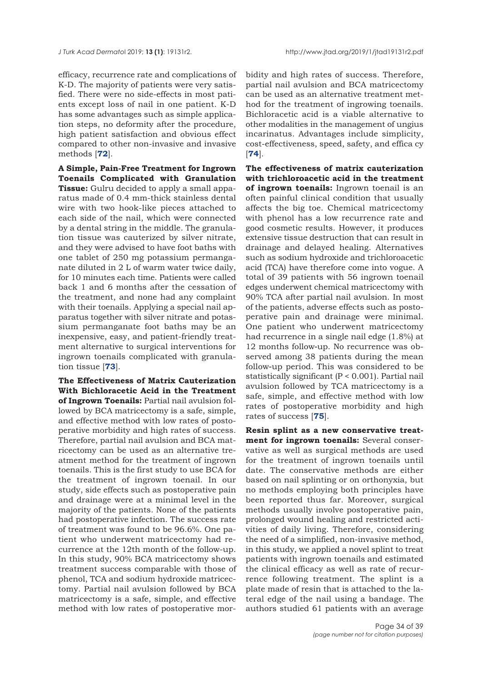efficacy, recurrence rate and complications of K-D. The majority of patients were very satisfied. There were no side-effects in most patients except loss of nail in one patient. K-D has some advantages such as simple application steps, no deformity after the procedure, high patient satisfaction and obvious effect compared to other non-invasive and invasive methods [**[72](#page-38-0)**].

**A Simple, Pain-Free Treatment for Ingrown Toenails Complicated with Granulation Tissue:** Gulru decided to apply a small apparatus made of 0.4 mm-thick stainless dental wire with two hook-like pieces attached to each side of the nail, which were connected by a dental string in the middle. The granulation tissue was cauterized by silver nitrate, and they were advised to have foot baths with one tablet of 250 mg potassium permanganate diluted in 2 L of warm water twice daily, for 10 minutes each time. Patients were called back 1 and 6 months after the cessation of the treatment, and none had any complaint with their toenails. Applying a special nail apparatus together with silver nitrate and potassium permanganate foot baths may be an inexpensive, easy, and patient-friendly treatment alternative to surgical interventions for ingrown toenails complicated with granulation tissue [**[73](#page-38-0)**].

**The Effectiveness of Matrix Cauterization With Bichloracetic Acid in the Treatment of Ingrown Toenails:** Partial nail avulsion followed by BCA matricectomy is a safe, simple, and effective method with low rates of postoperative morbidity and high rates of success. Therefore, partial nail avulsion and BCA matricectomy can be used as an alternative treatment method for the treatment of ingrown toenails. This is the first study to use BCA for the treatment of ingrown toenail. In our study, side effects such as postoperative pain and drainage were at a minimal level in the majority of the patients. None of the patients had postoperative infection. The success rate of treatment was found to be 96.6%. One patient who underwent matricectomy had recurrence at the 12th month of the follow-up. In this study, 90% BCA matricectomy shows treatment success comparable with those of phenol, TCA and sodium hydroxide matricectomy. Partial nail avulsion followed by BCA matricectomy is a safe, simple, and effective method with low rates of postoperative morbidity and high rates of success. Therefore, partial nail avulsion and BCA matricectomy can be used as an alternative treatment method for the treatment of ingrowing toenails. Bichloracetic acid is a viable alternative to other modalities in the management of ungius incarinatus. Advantages include simplicity, cost-effectiveness, speed, safety, and effica cy [**[74](#page-38-0)**].

**The effectiveness of matrix cauterization with trichloroacetic acid in the treatment of ingrown toenails:** Ingrown toenail is an often painful clinical condition that usually affects the big toe. Chemical matricectomy with phenol has a low recurrence rate and good cosmetic results. However, it produces extensive tissue destruction that can result in drainage and delayed healing. Alternatives such as sodium hydroxide and trichloroacetic acid (TCA) have therefore come into vogue. A total of 39 patients with 56 ingrown toenail edges underwent chemical matricectomy with 90% TCA after partial nail avulsion. In most of the patients, adverse effects such as postoperative pain and drainage were minimal. One patient who underwent matricectomy had recurrence in a single nail edge (1.8%) at 12 months follow‑up. No recurrence was observed among 38 patients during the mean follow‑up period. This was considered to be statistically significant (P < 0.001). Partial nail avulsion followed by TCA matricectomy is a safe, simple, and effective method with low rates of postoperative morbidity and high rates of success [**[75](#page-38-0)**].

**Resin splint as a new conservative treatment for ingrown toenails:** Several conservative as well as surgical methods are used for the treatment of ingrown toenails until date. The conservative methods are either based on nail splinting or on orthonyxia, but no methods employing both principles have been reported thus far. Moreover, surgical methods usually involve postoperative pain, prolonged wound healing and restricted activities of daily living. Therefore, considering the need of a simplified, non-invasive method, in this study, we applied a novel splint to treat patients with ingrown toenails and estimated the clinical efficacy as well as rate of recurrence following treatment. The splint is a plate made of resin that is attached to the lateral edge of the nail using a bandage. The authors studied 61 patients with an average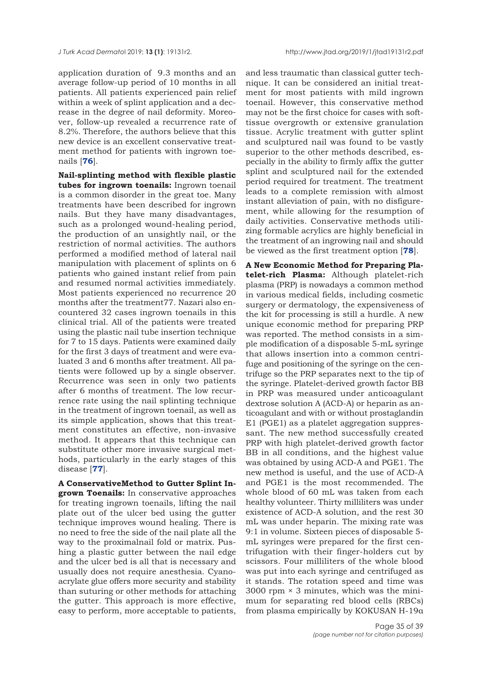application duration of 9.3 months and an average follow-up period of 10 months in all patients. All patients experienced pain relief within a week of splint application and a decrease in the degree of nail deformity. Moreover, follow-up revealed a recurrence rate of 8.2%. Therefore, the authors believe that this new device is an excellent conservative treatment method for patients with ingrown toenails [**[76](#page-38-0)**].

**Nail-splinting method with flexible plastic tubes for ingrown toenails:** Ingrown toenail is a common disorder in the great toe. Many treatments have been described for ingrown nails. But they have many disadvantages, such as a prolonged wound-healing period, the production of an unsightly nail, or the restriction of normal activities. The authors performed a modified method of lateral nail manipulation with placement of splints on 6 patients who gained instant relief from pain and resumed normal activities immediately. Most patients experienced no recurrence 20 months after the treatment77. Nazari also encountered 32 cases ingrown toenails in this clinical trial. All of the patients were treated using the plastic nail tube insertion technique for 7 to 15 days. Patients were examined daily for the first 3 days of treatment and were evaluated 3 and 6 months after treatment. All patients were followed up by a single observer. Recurrence was seen in only two patients after 6 months of treatment. The low recurrence rate using the nail splinting technique in the treatment of ingrown toenail, as well as its simple application, shows that this treatment constitutes an effective, non-invasive method. It appears that this technique can substitute other more invasive surgical methods, particularly in the early stages of this disease [**[77](#page-38-0)**].

**A ConservativeMethod to Gutter Splint Ingrown Toenails:** In conservative approaches for treating ingrown toenails, lifting the nail plate out of the ulcer bed using the gutter technique improves wound healing. There is no need to free the side of the nail plate all the way to the proximalnail fold or matrix. Pushing a plastic gutter between the nail edge and the ulcer bed is all that is necessary and usually does not require anesthesia. Cyanoacrylate glue offers more security and stability than suturing or other methods for attaching the gutter. This approach is more effective, easy to perform, more acceptable to patients, and less traumatic than classical gutter technique. It can be considered an initial treatment for most patients with mild ingrown toenail. However, this conservative method may not be the first choice for cases with softtissue overgrowth or extensive granulation tissue. Acrylic treatment with gutter splint and sculptured nail was found to be vastly superior to the other methods described, especially in the ability to firmly affix the gutter splint and sculptured nail for the extended period required for treatment. The treatment leads to a complete remission with almost instant alleviation of pain, with no disfigurement, while allowing for the resumption of daily activities. Conservative methods utilizing formable acrylics are highly beneficial in the treatment of an ingrowing nail and should be viewed as the first treatment option [**[78](#page-38-0)**].

**A New Economic Method for Preparing Platelet-rich Plasma:** Although platelet-rich plasma (PRP) is nowadays a common method in various medical fields, including cosmetic surgery or dermatology, the expensiveness of the kit for processing is still a hurdle. A new unique economic method for preparing PRP was reported. The method consists in a simple modification of a disposable 5-mL syringe that allows insertion into a common centrifuge and positioning of the syringe on the centrifuge so the PRP separates next to the tip of the syringe. Platelet-derived growth factor BB in PRP was measured under anticoagulant dextrose solution A (ACD-A) or heparin as anticoagulant and with or without prostaglandin E1 (PGE1) as a platelet aggregation suppressant. The new method successfully created PRP with high platelet-derived growth factor BB in all conditions, and the highest value was obtained by using ACD-A and PGE1. The new method is useful, and the use of ACD-A and PGE1 is the most recommended. The whole blood of 60 mL was taken from each healthy volunteer. Thirty milliliters was under existence of ACD-A solution, and the rest 30 mL was under heparin. The mixing rate was 9:1 in volume. Sixteen pieces of disposable 5 mL syringes were prepared for the first centrifugation with their finger-holders cut by scissors. Four milliliters of the whole blood was put into each syringe and centrifuged as it stands. The rotation speed and time was 3000 rpm  $\times$  3 minutes, which was the minimum for separating red blood cells (RBCs) from plasma empirically by KOKUSAN H-19α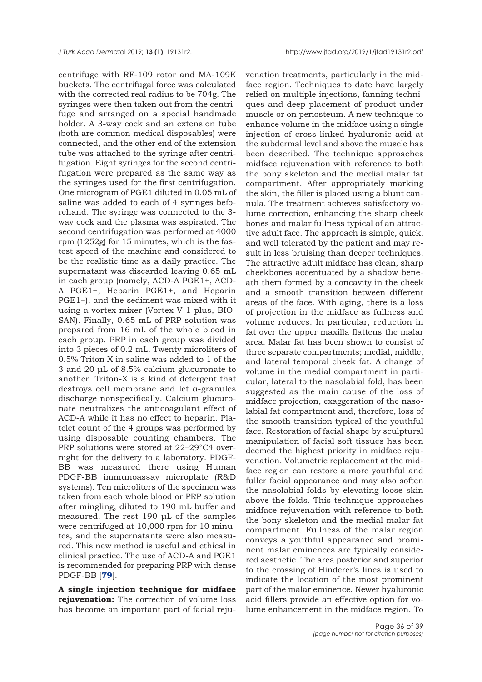centrifuge with RF-109 rotor and MA-109K buckets. The centrifugal force was calculated with the corrected real radius to be 704g. The syringes were then taken out from the centrifuge and arranged on a special handmade holder. A 3-way cock and an extension tube (both are common medical disposables) were connected, and the other end of the extension tube was attached to the syringe after centrifugation. Eight syringes for the second centrifugation were prepared as the same way as the syringes used for the first centrifugation. One microgram of PGE1 diluted in 0.05 mL of saline was added to each of 4 syringes beforehand. The syringe was connected to the 3 way cock and the plasma was aspirated. The second centrifugation was performed at 4000 rpm (1252g) for 15 minutes, which is the fastest speed of the machine and considered to be the realistic time as a daily practice. The supernatant was discarded leaving 0.65 mL in each group (namely, ACD-A PGE1+, ACD-A PGE1−, Heparin PGE1+, and Heparin PGE1−), and the sediment was mixed with it using a vortex mixer (Vortex V-1 plus, BIO-SAN). Finally, 0.65 mL of PRP solution was prepared from 16 mL of the whole blood in each group. PRP in each group was divided into 3 pieces of 0.2 mL. Twenty microliters of 0.5% Triton X in saline was added to 1 of the 3 and 20 μL of 8.5% calcium glucuronate to another. Triton-X is a kind of detergent that destroys cell membrane and let α-granules discharge nonspecifically. Calcium glucuronate neutralizes the anticoagulant effect of ACD-A while it has no effect to heparin. Platelet count of the 4 groups was performed by using disposable counting chambers. The PRP solutions were stored at 22–29°C4 overnight for the delivery to a laboratory. PDGF-BB was measured there using Human PDGF-BB immunoassay microplate (R&D systems). Ten microliters of the specimen was taken from each whole blood or PRP solution after mingling, diluted to 190 mL buffer and measured. The rest 190 μL of the samples were centrifuged at 10,000 rpm for 10 minutes, and the supernatants were also measured. This new method is useful and ethical in clinical practice. The use of ACD-A and PGE1 is recommended for preparing PRP with dense PDGF-BB [**[79](#page-38-0)**].

**A single injection technique for midface rejuvenation:** The correction of volume loss has become an important part of facial reju-

venation treatments, particularly in the midface region. Techniques to date have largely relied on multiple injections, fanning techniques and deep placement of product under muscle or on periosteum. A new technique to enhance volume in the midface using a single injection of cross-linked hyaluronic acid at the subdermal level and above the muscle has been described. The technique approaches midface rejuvenation with reference to both the bony skeleton and the medial malar fat compartment. After appropriately marking the skin, the filler is placed using a blunt cannula. The treatment achieves satisfactory volume correction, enhancing the sharp cheek bones and malar fullness typical of an attractive adult face. The approach is simple, quick, and well tolerated by the patient and may result in less bruising than deeper techniques. The attractive adult midface has clean, sharp cheekbones accentuated by a shadow beneath them formed by a concavity in the cheek and a smooth transition between different areas of the face. With aging, there is a loss of projection in the midface as fullness and volume reduces. In particular, reduction in fat over the upper maxilla flattens the malar area. Malar fat has been shown to consist of three separate compartments; medial, middle, and lateral temporal cheek fat. A change of volume in the medial compartment in particular, lateral to the nasolabial fold, has been suggested as the main cause of the loss of midface projection, exaggeration of the nasolabial fat compartment and, therefore, loss of the smooth transition typical of the youthful face. Restoration of facial shape by sculptural manipulation of facial soft tissues has been deemed the highest priority in midface rejuvenation. Volumetric replacement at the midface region can restore a more youthful and fuller facial appearance and may also soften the nasolabial folds by elevating loose skin above the folds. This technique approaches midface rejuvenation with reference to both the bony skeleton and the medial malar fat compartment. Fullness of the malar region conveys a youthful appearance and prominent malar eminences are typically considered aesthetic. The area posterior and superior to the crossing of Hinderer's lines is used to indicate the location of the most prominent part of the malar eminence. Newer hyaluronic acid fillers provide an effective option for volume enhancement in the midface region. To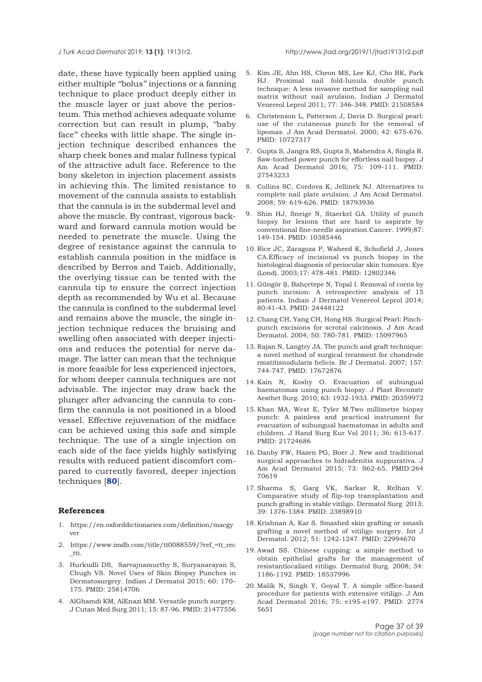<span id="page-36-0"></span>date, these have typically been applied using either multiple ''bolus'' injections or a fanning technique to place product deeply either in the muscle layer or just above the periosteum. This method achieves adequate volume correction but can result in plump, ''baby face'' cheeks with little shape. The single injection technique described enhances the sharp cheek bones and malar fullness typical of the attractive adult face. Reference to the bony skeleton in injection placement assists in achieving this. The limited resistance to movement of the cannula assists to establish that the cannula is in the subdermal level and above the muscle. By contrast, vigorous backward and forward cannula motion would be needed to penetrate the muscle. Using the degree of resistance against the cannula to establish cannula position in the midface is described by Berros and Taieb. Additionally, the overlying tissue can be tented with the cannula tip to ensure the correct injection depth as recommended by Wu et al. Because the cannula is confined to the subdermal level and remains above the muscle, the single injection technique reduces the bruising and swelling often associated with deeper injections and reduces the potential for nerve damage. The latter can mean that the technique is more feasible for less experienced injectors, for whom deeper cannula techniques are not advisable. The injector may draw back the plunger after advancing the cannula to confirm the cannula is not positioned in a blood vessel. Effective rejuvenation of the midface can be achieved using this safe and simple technique. The use of a single injection on each side of the face yields highly satisfying results with reduced patient discomfort compared to currently favored, deeper injection techniques [**[80](#page-38-0)**].

#### **References**

- 1. https://en.oxforddictionaries.com/definition/macgy ver
- 2. https://www.imdb.com/title/tt0088559/?ref\_=tt\_rec \_tti.
- 3. Hurkudli DS, Sarvajnamurthy S, Suryanarayan S, Chugh VS. Novel Uses of Skin Biopsy Punches in Dermatosurgery. Indian J Dermatol 2015; 60: 170– 175. PMID: 25814706
- 4. AlGhamdi KM, AlEnazi MM. Versatile punch surgery. J Cutan Med Surg 2011; 15: 87-96. PMID: 21477556
- 5. Kim JE, Ahn HS, Cheon MS, Lee KJ, Cho BK, Park HJ. Proximal nail fold-lunula double punch technique: A less invasive method for sampling nail matrix without nail avulsion. Indian J Dermatol Venereol Leprol 2011; 77: 346-348. PMID: 21508584
- 6. Christenson L, Patterson J, Davis D. Surgical pearl: use of the cutaneous punch for the removal of lipomas. J Am Acad Dermatol. 2000; 42: 675-676. PMID: 10727317
- 7. Gupta S, Jangra RS, Gupta S, Mahendra A, Singla R. Saw-toothed power punch for effortless nail biopsy. J Am Acad Dermatol 2016; 75: 109-111. PMID: 27543233
- 8. Collins SC, Cordova K, Jellinek NJ. Alternatives to complete nail plate avulsion. J Am Acad Dermatol. 2008; 59: 619-626. PMID: 18793936
- 9. Shin HJ, Sneige N, Staerkel GA. Utility of punch biopsy for lesions that are hard to aspirate by conventional fine-needle aspiration.Cancer. 1999;87: 149-154. PMID: 10385446
- 10. Rice JC, Zaragoza P, Waheed K, Schofield J, Jones CA.Efficacy of incisional vs punch biopsy in the histological diagnosis of periocular skin tumours. Eye (Lond). 2003;17: 478-481. PMID: 12802346
- 11. Güngör Ş, Bahçetepe N, Topal I. Removal of corns by punch incision: A retrospective analysis of 15 patients. Indian J Dermatol Venereol Leprol 2014; 80:41-43. PMID: 24448122
- 12. Chang CH, Yang CH, Hong HS. Surgical Pearl: Pinchpunch excisions for scrotal calcinosis. J Am Acad Dermatol. 2004; 50: 780-781. PMID: 15097965
- 13. Rajan N, Langtry JA. The punch and graft technique: a novel method of surgical treatment for chondrode rmatitisnodularis helicis. Br J Dermatol. 2007; 157: 744-747. PMID: 17672876
- 14. Kain N, Koshy O. Evacuation of subungual haematomas using punch biopsy. J Plast Reconstr Aesthet Surg. 2010; 63: 1932-1933. PMID: 20359972
- 15. Khan MA, West E, Tyler M.Two millimetre biopsy punch: A painless and practical instrument for evacuation of subungual haematomas in adults and children. J Hand Surg Eur Vol 2011; 36: 615-617. PMID: 21724686
- 16. Danby FW, Hazen PG, Boer J. New and traditional surgical approaches to hidradenitis suppurativa. J Am Acad Dermatol 2015; 73: S62-65. PMID:264 70619
- 17. Sharma S, Garg VK, Sarkar R, Relhan V. Comparative study of flip-top transplantation and punch grafting in stable vitiligo. Dermatol Surg 2013; 39: 1376-1384. PMID: 23898910
- 18. Krishnan A, Kar S. Smashed skin grafting or smash grafting a novel method of vitiligo surgery. Int J Dermatol. 2012; 51: 1242-1247. PMID: 22994670
- 19. Awad SS. Chinese cupping: a simple method to obtain epithelial grafts for the management of resistantlocalized vitiligo. Dermatol Surg. 2008; 34: 1186-1192. PMID: 18537996
- 20. Malik N, Singh Y, Goyal T. A simple office-based procedure for patients with extensive vitiligo. J Am Acad Dermatol 2016; 75: e195-e197. PMID: 2774 5651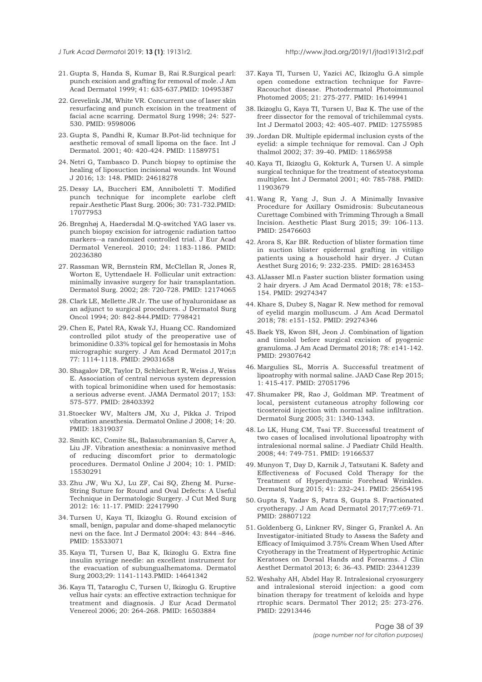<span id="page-37-0"></span>

- 21. Gupta S, Handa S, Kumar B, Rai R.Surgical pearl: punch excision and grafting for removal of mole. J Am Acad Dermatol 1999; 41: 635-637.PMID: 10495387
- 22. Grevelink JM, White VR. Concurrent use of laser skin resurfacing and punch excision in the treatment of facial acne scarring. Dermatol Surg 1998; 24: 527- 530. PMID: 9598006
- 23. Gupta S, Pandhi R, Kumar B.Pot-lid technique for aesthetic removal of small lipoma on the face. Int J Dermatol. 2001; 40: 420-424. PMID: 11589751
- 24. Netri G, Tambasco D. Punch biopsy to optimise the healing of liposuction incisional wounds. Int Wound J 2016; 13: 148. PMID: 24618278
- 25. Dessy LA, Buccheri EM, Anniboletti T. Modified punch technique for incomplete earlobe cleft repair.Aesthetic Plast Surg. 2006; 30: 731-732.PMID: 17077953
- 26. Bregnhøj A, Haedersdal M.Q-switched YAG laser vs. punch biopsy excision for iatrogenic radiation tattoo markers--a randomized controlled trial. J Eur Acad Dermatol Venereol. 2010; 24: 1183-1186. PMID: 20236380
- 27. Rassman WR, Bernstein RM, McClellan R, Jones R, Worton E, Uyttendaele H. Follicular unit extraction: minimally invasive surgery for hair transplantation. Dermatol Surg. 2002; 28: 720-728. PMID: 12174065
- 28. Clark LE, Mellette JR Jr. The use of hyaluronidase as an adjunct to surgical procedures. J Dermatol Surg Oncol 1994; 20: 842-844.PMID: 7798421
- 29. Chen E, Patel RA, Kwak YJ, Huang CC. Randomized controlled pilot study of the preoperative use of brimonidine 0.33% topical gel for hemostasis in Mohs micrographic surgery. J Am Acad Dermatol 2017;n 77: 1114-1118. PMID: 29031658
- 30. Shagalov DR, Taylor D, Schleichert R, Weiss J, Weiss E. Association of central nervous system depression with topical brimonidine when used for hemostasis: a serious adverse event. JAMA Dermatol 2017; 153: 575-577. PMID: 28403392
- 31.Stoecker WV, Malters JM, Xu J, Pikka J. Tripod vibration anesthesia. Dermatol Online J 2008; 14: 20. PMID: 18319037
- 32. Smith KC, Comite SL, Balasubramanian S, Carver A, Liu JF. Vibration anesthesia: a noninvasive method of reducing discomfort prior to dermatologic procedures. Dermatol Online J 2004; 10: 1. PMID: 15530291
- 33. Zhu JW, Wu XJ, Lu ZF, Cai SQ, Zheng M. Purse-String Suture for Round and Oval Defects: A Useful Technique in Dermatologic Surgery. J Cut Med Surg 2012: 16: 11-17. PMID: 22417990
- 34. Tursen U, Kaya TI, Ikizoglu G. Round excision of small, benign, papular and dome-shaped melanocytic nevi on the face. Int J Dermatol 2004: 43: 844 –846. PMID: 15533071
- 35. Kaya TI, Tursen U, Baz K, Ikizoglu G. Extra fine insulin syringe needle: an excellent instrument for the evacuation of subungualhematoma. Dermatol Surg 2003;29: 1141-1143.PMID: 14641342
- 36. Kaya TI, Tataroglu C, Tursen U, Ikizoglu G. Eruptive vellus hair cysts: an effective extraction technique for treatment and diagnosis. J Eur Acad Dermatol Venereol 2006; 20: 264-268. PMID: 16503884
- 37. Kaya TI, Tursen U, Yazici AC, Ikizoglu G.A simple open comedone extraction technique for Favre-Racouchot disease. Photodermatol Photoimmunol Photomed 2005; 21: 275-277. PMID: 16149941
- 38. Ikizoglu G, Kaya TI, Tursen U, Baz K. The use of the freer dissector for the removal of trichilemmal cysts. Int J Dermatol 2003; 42: 405-407. PMID: 12755985
- 39. Jordan DR. Multiple epidermal inclusion cysts of the eyelid: a simple technique for removal. Can J Oph thalmol 2002; 37: 39-40. PMID: 11865958
- 40. Kaya TI, Ikizoglu G, Kokturk A, Tursen U. A simple surgical technique for the treatment of steatocystoma multiplex. Int J Dermatol 2001; 40: 785-788. PMID: 11903679
- 41. Wang R, Yang J, Sun J. A Minimally Invasive Procedure for Axillary Osmidrosis: Subcutaneous Curettage Combined with Trimming Through a Small Incision. Aesthetic Plast Surg 2015; 39: 106-113. PMID: 25476603
- 42. Arora S, Kar BR. Reduction of blister formation time in suction blister epidermal grafting in vitiligo patients using a household hair dryer. J Cutan Aesthet Surg 2016; 9: 232-235. PMID: 28163453
- 43. AlJasser MI.n Faster suction blister formation using 2 hair dryers. J Am Acad Dermatol 2018; 78: e153- 154. PMID: 29274347
- 44. Khare S, Dubey S, Nagar R. New method for removal of eyelid margin molluscum. J Am Acad Dermatol 2018; 78: e151-152. PMID: 29274346
- 45. Baek YS, Kwon SH, Jeon J. Combination of ligation and timolol before surgical excision of pyogenic granuloma. J Am Acad Dermatol 2018; 78: e141-142. PMID: 29307642
- 46. Margulies SL, Morris A. Successful treatment of lipoatrophy with normal saline. JAAD Case Rep 2015; 1: 415-417. PMID: 27051796
- 47. Shumaker PR, Rao J, Goldman MP. Treatment of local, persistent cutaneous atrophy following cor ticosteroid injection with normal saline infiltration. Dermatol Surg 2005; 31: 1340-1343.
- 48. Lo LK, Hung CM, Tsai TF. Successful treatment of two cases of localised involutional lipoatrophy with intralesional normal saline. J Paediatr Child Health. 2008; 44: 749-751. PMID: 19166537
- 49. Munyon T, Day D, Karnik J, Tatsutani K. Safety and Effectiveness of Focused Cold Therapy for the Treatment of Hyperdynamic Forehead Wrinkles. Dermatol Surg 2015; 41: 232–241. PMID: 25654195
- 50. Gupta S, Yadav S, Patra S, Gupta S. Fractionated cryotherapy. J Am Acad Dermatol 2017;77:e69-71. PMID: 28807122
- 51. Goldenberg G, Linkner RV, Singer G, Frankel A. An Investigator-initiated Study to Assess the Safety and Efficacy of Imiquimod 3.75% Cream When Used After Cryotherapy in the Treatment of Hypertrophic Actinic Keratoses on Dorsal Hands and Forearms. J Clin Aesthet Dermatol 2013; 6: 36–43. PMID: 23441239
- 52. Weshahy AH, Abdel Hay R. Intralesional cryosurgery and intralesional steroid injection: a good com bination therapy for treatment of keloids and hype rtrophic scars. Dermatol Ther 2012; 25: 273-276. PMID: 22913446